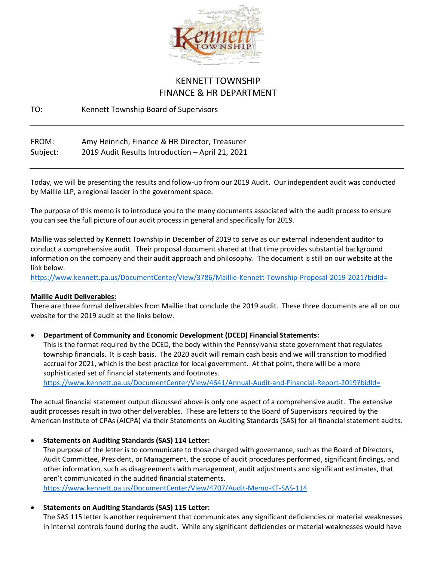

### KENNETT TOWNSHIP FINANCE & HR DEPARTMENT

#### TO: Kennett Township Board of Supervisors

FROM: Amy Heinrich, Finance & HR Director, Treasurer Subject: 2019 Audit Results Introduction – April 21, 2021

Today, we will be presenting the results and follow-up from our 2019 Audit. Our independent audit was conducted by Maillie LLP, a regional leader in the government space.

The purpose of this memo is to introduce you to the many documents associated with the audit process to ensure you can see the full picture of our audit process in general and specifically for 2019.

Maillie was selected by Kennett Township in December of 2019 to serve as our external independent auditor to conduct a comprehensive audit. Their proposal document shared at that time provides substantial background information on the company and their audit approach and philosophy. The document is still on our website at the link below.

<https://www.kennett.pa.us/DocumentCenter/View/3786/Maillie-Kennett-Township-Proposal-2019-2021?bidId=>

#### **Maillie Audit Deliverables:**

There are three formal deliverables from Maillie that conclude the 2019 audit. These three documents are all on our website for the 2019 audit at the links below.

• **Department of Community and Economic Development (DCED) Financial Statements:**

This is the format required by the DCED, the body within the Pennsylvania state government that regulates township financials. It is cash basis. The 2020 audit will remain cash basis and we will transition to modified accrual for 2021, which is the best practice for local government. At that point, there will be a more sophisticated set of financial statements and footnotes. <https://www.kennett.pa.us/DocumentCenter/View/4641/Annual-Audit-and-Financial-Report-2019?bidId=>

The actual financial statement output discussed above is only one aspect of a comprehensive audit. The extensive audit processes result in two other deliverables. These are letters to the Board of Supervisors required by the American Institute of CPAs (AICPA) via their Statements on Auditing Standards (SAS) for all financial statement audits.

#### • **Statements on Auditing Standards (SAS) 114 Letter:**

The purpose of the letter is to communicate to those charged with governance, such as the Board of Directors, Audit Committee, President, or Management, the scope of audit procedures performed, significant findings, and other information, such as disagreements with management, audit adjustments and significant estimates, that aren't communicated in the audited financial statements.

<https://www.kennett.pa.us/DocumentCenter/View/4707/Audit-Memo-KT-SAS-114>

#### • **Statements on Auditing Standards (SAS) 115 Letter:**

The SAS 115 letter is another requirement that communicates any significant deficiencies or material weaknesses in internal controls found during the audit. While any significant deficiencies or material weaknesses would have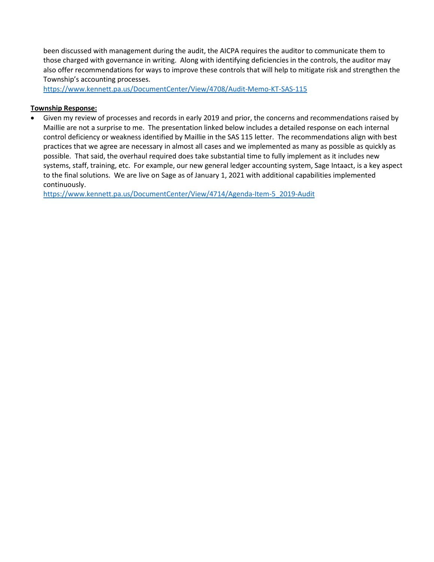been discussed with management during the audit, the AICPA requires the auditor to communicate them to those charged with governance in writing. Along with identifying deficiencies in the controls, the auditor may also offer recommendations for ways to improve these controls that will help to mitigate risk and strengthen the Township's accounting processes.

<https://www.kennett.pa.us/DocumentCenter/View/4708/Audit-Memo-KT-SAS-115>

#### **Township Response:**

• Given my review of processes and records in early 2019 and prior, the concerns and recommendations raised by Maillie are not a surprise to me. The presentation linked below includes a detailed response on each internal control deficiency or weakness identified by Maillie in the SAS 115 letter. The recommendations align with best practices that we agree are necessary in almost all cases and we implemented as many as possible as quickly as possible. That said, the overhaul required does take substantial time to fully implement as it includes new systems, staff, training, etc. For example, our new general ledger accounting system, Sage Intaact, is a key aspect to the final solutions. We are live on Sage as of January 1, 2021 with additional capabilities implemented continuously.

[https://www.kennett.pa.us/DocumentCenter/View/4714/Agenda-Item-5\\_2019-Audit](https://www.kennett.pa.us/DocumentCenter/View/4714/Agenda-Item-5_2019-Audit)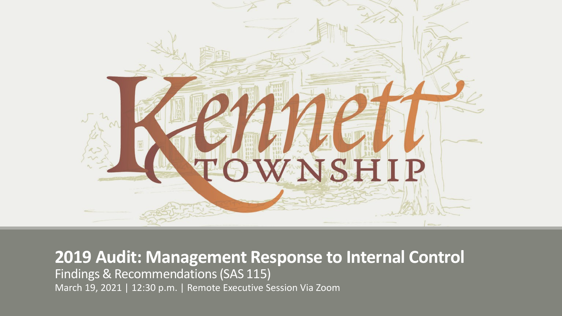

### **2019 Audit: Management Response to Internal Control**  Findings & Recommendations (SAS 115) March 19, 2021 | 12:30 p.m. | Remote Executive Session Via Zoom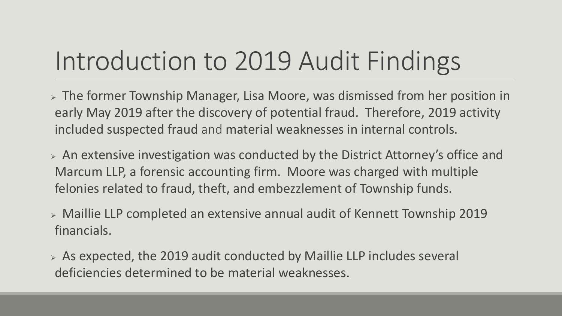# Introduction to 2019 Audit Findings

- > The former Township Manager, Lisa Moore, was dismissed from her position in early May 2019 after the discovery of potential fraud. Therefore, 2019 activity included suspected fraud and material weaknesses in internal controls.
- $\triangleright$  An extensive investigation was conducted by the District Attorney's office and Marcum LLP, a forensic accounting firm. Moore was charged with multiple felonies related to fraud, theft, and embezzlement of Township funds.
- Maillie LLP completed an extensive annual audit of Kennett Township 2019 financials.
- $\geq$  As expected, the 2019 audit conducted by Maillie LLP includes several deficiencies determined to be material weaknesses.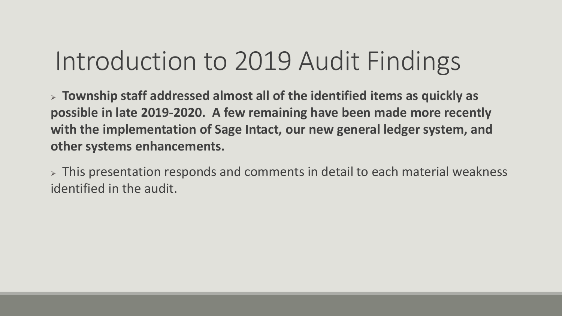## Introduction to 2019 Audit Findings

 **Township staff addressed almost all of the identified items as quickly as possible in late 2019-2020. A few remaining have been made more recently with the implementation of Sage Intact, our new general ledger system, and other systems enhancements.**

 $\triangleright$  This presentation responds and comments in detail to each material weakness identified in the audit.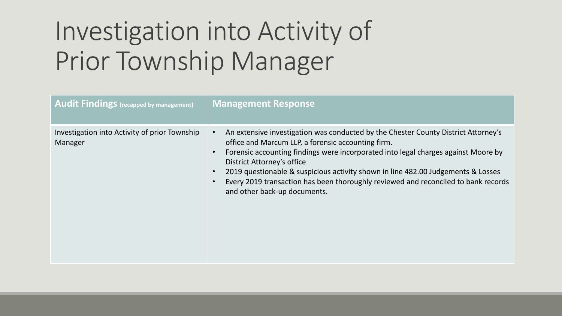# Investigation into Activity of Prior Township Manager

| <b>Audit Findings</b> (recapped by management)           | <b>Management Response</b>                                                                                                                                                                                                                                                                                                                                                                                                                                                          |
|----------------------------------------------------------|-------------------------------------------------------------------------------------------------------------------------------------------------------------------------------------------------------------------------------------------------------------------------------------------------------------------------------------------------------------------------------------------------------------------------------------------------------------------------------------|
| Investigation into Activity of prior Township<br>Manager | An extensive investigation was conducted by the Chester County District Attorney's<br>$\bullet$<br>office and Marcum LLP, a forensic accounting firm.<br>Forensic accounting findings were incorporated into legal charges against Moore by<br>District Attorney's office<br>2019 questionable & suspicious activity shown in line 482.00 Judgements & Losses<br>Every 2019 transaction has been thoroughly reviewed and reconciled to bank records<br>and other back-up documents. |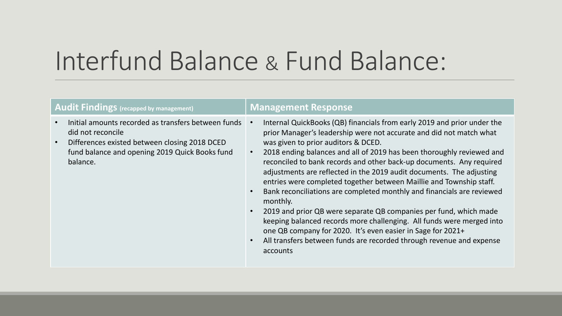### Interfund Balance & Fund Balance:

### **Audit Findings (recapped by management) Management Response**

- Initial amounts recorded as transfers between funds did not reconcile
- Differences existed between closing 2018 DCED fund balance and opening 2019 Quick Books fund balance.

- Internal QuickBooks (QB) financials from early 2019 and prior under the prior Manager's leadership were not accurate and did not match what was given to prior auditors & DCED.
- 2018 ending balances and all of 2019 has been thoroughly reviewed and reconciled to bank records and other back-up documents. Any required adjustments are reflected in the 2019 audit documents. The adjusting entries were completed together between Maillie and Township staff.
- Bank reconciliations are completed monthly and financials are reviewed monthly.
- 2019 and prior QB were separate QB companies per fund, which made keeping balanced records more challenging. All funds were merged into one QB company for 2020. It's even easier in Sage for 2021+
- All transfers between funds are recorded through revenue and expense accounts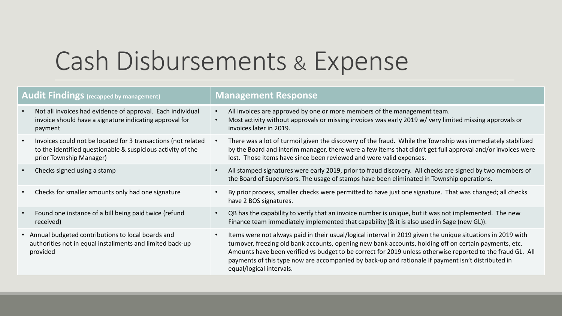### Cash Disbursements & Expense

| <b>Audit Findings</b> (recapped by management)                                                                                                                       | <b>Management Response</b>                                                                                                                                                                                                                                                                                                                                                                                                                                            |
|----------------------------------------------------------------------------------------------------------------------------------------------------------------------|-----------------------------------------------------------------------------------------------------------------------------------------------------------------------------------------------------------------------------------------------------------------------------------------------------------------------------------------------------------------------------------------------------------------------------------------------------------------------|
| Not all invoices had evidence of approval. Each individual<br>$\bullet$<br>invoice should have a signature indicating approval for<br>payment                        | All invoices are approved by one or more members of the management team.<br>Most activity without approvals or missing invoices was early 2019 w/ very limited missing approvals or<br>invoices later in 2019.                                                                                                                                                                                                                                                        |
| Invoices could not be located for 3 transactions (not related<br>$\bullet$<br>to the identified questionable & suspicious activity of the<br>prior Township Manager) | There was a lot of turmoil given the discovery of the fraud. While the Township was immediately stabilized<br>by the Board and interim manager, there were a few items that didn't get full approval and/or invoices were<br>lost. Those items have since been reviewed and were valid expenses.                                                                                                                                                                      |
| Checks signed using a stamp<br>$\bullet$                                                                                                                             | All stamped signatures were early 2019, prior to fraud discovery. All checks are signed by two members of<br>the Board of Supervisors. The usage of stamps have been eliminated in Township operations.                                                                                                                                                                                                                                                               |
| Checks for smaller amounts only had one signature<br>$\bullet$                                                                                                       | By prior process, smaller checks were permitted to have just one signature. That was changed; all checks<br>have 2 BOS signatures.                                                                                                                                                                                                                                                                                                                                    |
| Found one instance of a bill being paid twice (refund<br>$\bullet$<br>received)                                                                                      | QB has the capability to verify that an invoice number is unique, but it was not implemented. The new<br>Finance team immediately implemented that capability (& it is also used in Sage (new GL)).                                                                                                                                                                                                                                                                   |
| • Annual budgeted contributions to local boards and<br>authorities not in equal installments and limited back-up<br>provided                                         | Items were not always paid in their usual/logical interval in 2019 given the unique situations in 2019 with<br>turnover, freezing old bank accounts, opening new bank accounts, holding off on certain payments, etc.<br>Amounts have been verified vs budget to be correct for 2019 unless otherwise reported to the fraud GL. All<br>payments of this type now are accompanied by back-up and rationale if payment isn't distributed in<br>equal/logical intervals. |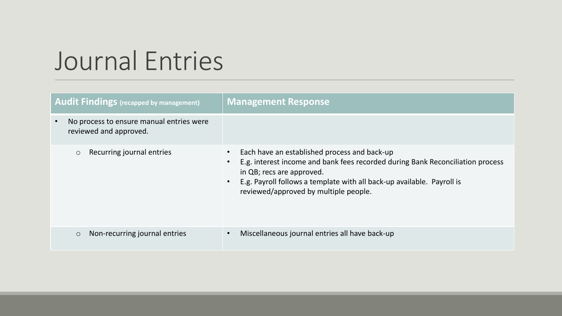### Journal Entries

| <b>Audit Findings</b> (recapped by management)                     | <b>Management Response</b>                                                                                                                                                                                                                                                     |  |  |  |  |  |
|--------------------------------------------------------------------|--------------------------------------------------------------------------------------------------------------------------------------------------------------------------------------------------------------------------------------------------------------------------------|--|--|--|--|--|
| No process to ensure manual entries were<br>reviewed and approved. |                                                                                                                                                                                                                                                                                |  |  |  |  |  |
| Recurring journal entries<br>$\circlearrowright$                   | Each have an established process and back-up<br>E.g. interest income and bank fees recorded during Bank Reconciliation process<br>in QB; recs are approved.<br>E.g. Payroll follows a template with all back-up available. Payroll is<br>reviewed/approved by multiple people. |  |  |  |  |  |
| Non-recurring journal entries<br>$\circ$                           | Miscellaneous journal entries all have back-up                                                                                                                                                                                                                                 |  |  |  |  |  |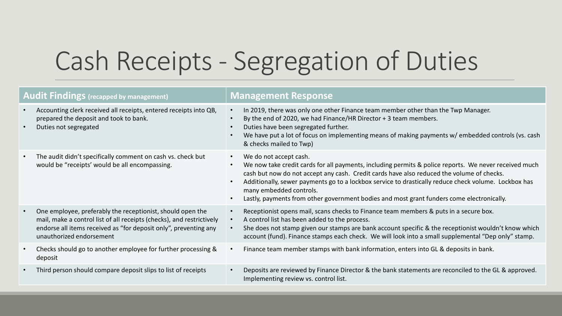# Cash Receipts - Segregation of Duties

|                        | <b>Audit Findings</b> (recapped by management)                                                                                                                                                                                      |           | <b>Management Response</b>                                                                                                                                                                                                                                                                                                                                                                                                                                   |
|------------------------|-------------------------------------------------------------------------------------------------------------------------------------------------------------------------------------------------------------------------------------|-----------|--------------------------------------------------------------------------------------------------------------------------------------------------------------------------------------------------------------------------------------------------------------------------------------------------------------------------------------------------------------------------------------------------------------------------------------------------------------|
| $\bullet$<br>$\bullet$ | Accounting clerk received all receipts, entered receipts into QB,<br>prepared the deposit and took to bank.<br>Duties not segregated                                                                                                | $\bullet$ | In 2019, there was only one other Finance team member other than the Twp Manager.<br>By the end of 2020, we had Finance/HR Director + 3 team members.<br>Duties have been segregated further.<br>We have put a lot of focus on implementing means of making payments w/ embedded controls (vs. cash<br>& checks mailed to Twp)                                                                                                                               |
|                        | The audit didn't specifically comment on cash vs. check but<br>would be "receipts' would be all encompassing.                                                                                                                       | $\bullet$ | We do not accept cash.<br>We now take credit cards for all payments, including permits & police reports. We never received much<br>cash but now do not accept any cash. Credit cards have also reduced the volume of checks.<br>Additionally, sewer payments go to a lockbox service to drastically reduce check volume. Lockbox has<br>many embedded controls.<br>Lastly, payments from other government bodies and most grant funders come electronically. |
| $\bullet$              | One employee, preferably the receptionist, should open the<br>mail, make a control list of all receipts (checks), and restrictively<br>endorse all items received as "for deposit only", preventing any<br>unauthorized endorsement | $\bullet$ | Receptionist opens mail, scans checks to Finance team members & puts in a secure box.<br>A control list has been added to the process.<br>She does not stamp given our stamps are bank account specific & the receptionist wouldn't know which<br>account (fund). Finance stamps each check. We will look into a small supplemental "Dep only" stamp.                                                                                                        |
| $\bullet$              | Checks should go to another employee for further processing &<br>deposit                                                                                                                                                            |           | Finance team member stamps with bank information, enters into GL & deposits in bank.                                                                                                                                                                                                                                                                                                                                                                         |
| $\bullet$              | Third person should compare deposit slips to list of receipts                                                                                                                                                                       |           | Deposits are reviewed by Finance Director & the bank statements are reconciled to the GL & approved.<br>Implementing review vs. control list.                                                                                                                                                                                                                                                                                                                |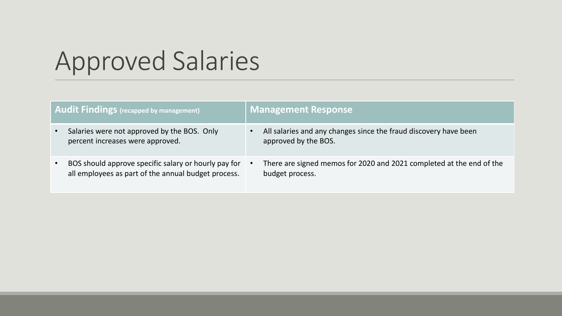# Approved Salaries

| <b>Audit Findings (recapped by management)</b>                                                              | <b>Management Response</b> |                                                                                          |  |  |
|-------------------------------------------------------------------------------------------------------------|----------------------------|------------------------------------------------------------------------------------------|--|--|
| Salaries were not approved by the BOS. Only<br>percent increases were approved.                             | $\bullet$                  | All salaries and any changes since the fraud discovery have been<br>approved by the BOS. |  |  |
| BOS should approve specific salary or hourly pay for<br>all employees as part of the annual budget process. | $\bullet$                  | There are signed memos for 2020 and 2021 completed at the end of the<br>budget process.  |  |  |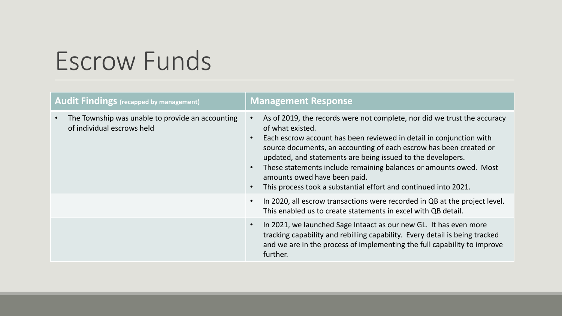### Escrow Funds

| <b>Audit Findings</b> (recapped by management)                                 | <b>Management Response</b>                                                                                                                                                                                                                                                                                                                                                                                                                                                                                                           |  |  |  |  |
|--------------------------------------------------------------------------------|--------------------------------------------------------------------------------------------------------------------------------------------------------------------------------------------------------------------------------------------------------------------------------------------------------------------------------------------------------------------------------------------------------------------------------------------------------------------------------------------------------------------------------------|--|--|--|--|
| The Township was unable to provide an accounting<br>of individual escrows held | As of 2019, the records were not complete, nor did we trust the accuracy<br>$\bullet$<br>of what existed.<br>Each escrow account has been reviewed in detail in conjunction with<br>$\bullet$<br>source documents, an accounting of each escrow has been created or<br>updated, and statements are being issued to the developers.<br>These statements include remaining balances or amounts owed. Most<br>$\bullet$<br>amounts owed have been paid.<br>This process took a substantial effort and continued into 2021.<br>$\bullet$ |  |  |  |  |
|                                                                                | In 2020, all escrow transactions were recorded in QB at the project level.<br>$\bullet$<br>This enabled us to create statements in excel with QB detail.                                                                                                                                                                                                                                                                                                                                                                             |  |  |  |  |
|                                                                                | In 2021, we launched Sage Intaact as our new GL. It has even more<br>$\bullet$<br>tracking capability and rebilling capability. Every detail is being tracked<br>and we are in the process of implementing the full capability to improve<br>further.                                                                                                                                                                                                                                                                                |  |  |  |  |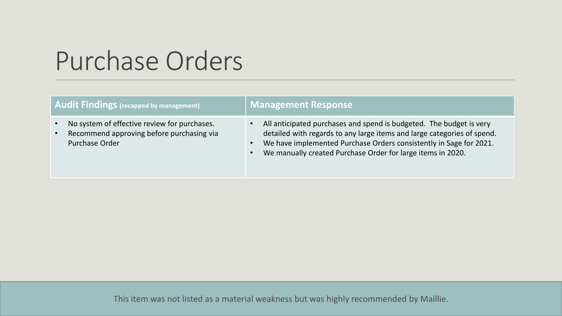### Purchase Orders

| <b>Audit Findings</b> (recapped by management)                                                                     | <b>Management Response</b>                                                                                                                                                                                                                                                          |  |  |  |  |  |
|--------------------------------------------------------------------------------------------------------------------|-------------------------------------------------------------------------------------------------------------------------------------------------------------------------------------------------------------------------------------------------------------------------------------|--|--|--|--|--|
| No system of effective review for purchases.<br>Recommend approving before purchasing via<br><b>Purchase Order</b> | All anticipated purchases and spend is budgeted. The budget is very<br>detailed with regards to any large items and large categories of spend.<br>We have implemented Purchase Orders consistently in Sage for 2021.<br>We manually created Purchase Order for large items in 2020. |  |  |  |  |  |

This item was not listed as a material weakness but was highly recommended by Maillie.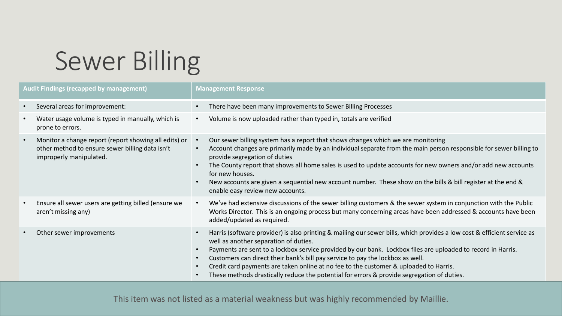# Sewer Billing

|           | <b>Audit Findings (recapped by management)</b>                                                                                      | <b>Management Response</b>                                                                                                                                                                                                                                                                                                                                                                                                                                                                                                                                |
|-----------|-------------------------------------------------------------------------------------------------------------------------------------|-----------------------------------------------------------------------------------------------------------------------------------------------------------------------------------------------------------------------------------------------------------------------------------------------------------------------------------------------------------------------------------------------------------------------------------------------------------------------------------------------------------------------------------------------------------|
| $\bullet$ | Several areas for improvement:                                                                                                      | There have been many improvements to Sewer Billing Processes                                                                                                                                                                                                                                                                                                                                                                                                                                                                                              |
| $\bullet$ | Water usage volume is typed in manually, which is<br>prone to errors.                                                               | Volume is now uploaded rather than typed in, totals are verified<br>$\bullet$                                                                                                                                                                                                                                                                                                                                                                                                                                                                             |
| $\bullet$ | Monitor a change report (report showing all edits) or<br>other method to ensure sewer billing data isn't<br>improperly manipulated. | Our sewer billing system has a report that shows changes which we are monitoring<br>Account changes are primarily made by an individual separate from the main person responsible for sewer billing to<br>provide segregation of duties<br>The County report that shows all home sales is used to update accounts for new owners and/or add new accounts<br>for new houses.<br>New accounts are given a sequential new account number. These show on the bills & bill register at the end &<br>enable easy review new accounts.                           |
| $\bullet$ | Ensure all sewer users are getting billed (ensure we<br>aren't missing any)                                                         | We've had extensive discussions of the sewer billing customers & the sewer system in conjunction with the Public<br>Works Director. This is an ongoing process but many concerning areas have been addressed & accounts have been<br>added/updated as required.                                                                                                                                                                                                                                                                                           |
| $\bullet$ | Other sewer improvements                                                                                                            | Harris (software provider) is also printing & mailing our sewer bills, which provides a low cost & efficient service as<br>well as another separation of duties.<br>Payments are sent to a lockbox service provided by our bank. Lockbox files are uploaded to record in Harris.<br>Customers can direct their bank's bill pay service to pay the lockbox as well.<br>Credit card payments are taken online at no fee to the customer & uploaded to Harris.<br>These methods drastically reduce the potential for errors & provide segregation of duties. |

This item was not listed as a material weakness but was highly recommended by Maillie.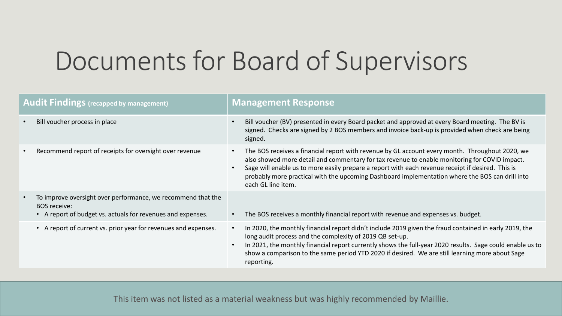# Documents for Board of Supervisors

| $\sqrt{\frac{1}{2}}$ Audit Findings (recapped by management) |                                                                                                                                                  |                        | <b>Management Response</b>                                                                                                                                                                                                                                                                                                                                                                                                     |  |  |  |  |  |  |
|--------------------------------------------------------------|--------------------------------------------------------------------------------------------------------------------------------------------------|------------------------|--------------------------------------------------------------------------------------------------------------------------------------------------------------------------------------------------------------------------------------------------------------------------------------------------------------------------------------------------------------------------------------------------------------------------------|--|--|--|--|--|--|
| $\bullet$                                                    | Bill voucher process in place                                                                                                                    | $\bullet$              | Bill voucher (BV) presented in every Board packet and approved at every Board meeting. The BV is<br>signed. Checks are signed by 2 BOS members and invoice back-up is provided when check are being<br>signed.                                                                                                                                                                                                                 |  |  |  |  |  |  |
| $\bullet$                                                    | Recommend report of receipts for oversight over revenue                                                                                          | $\bullet$              | The BOS receives a financial report with revenue by GL account every month. Throughout 2020, we<br>also showed more detail and commentary for tax revenue to enable monitoring for COVID impact.<br>Sage will enable us to more easily prepare a report with each revenue receipt if desired. This is<br>probably more practical with the upcoming Dashboard implementation where the BOS can drill into<br>each GL line item. |  |  |  |  |  |  |
|                                                              | To improve oversight over performance, we recommend that the<br><b>BOS</b> receive:<br>A report of budget vs. actuals for revenues and expenses. |                        | The BOS receives a monthly financial report with revenue and expenses vs. budget.                                                                                                                                                                                                                                                                                                                                              |  |  |  |  |  |  |
|                                                              | A report of current vs. prior year for revenues and expenses.<br>$\bullet$                                                                       | $\bullet$<br>$\bullet$ | In 2020, the monthly financial report didn't include 2019 given the fraud contained in early 2019, the<br>long audit process and the complexity of 2019 QB set-up.<br>In 2021, the monthly financial report currently shows the full-year 2020 results. Sage could enable us to<br>show a comparison to the same period YTD 2020 if desired. We are still learning more about Sage<br>reporting.                               |  |  |  |  |  |  |

This item was not listed as a material weakness but was highly recommended by Maillie.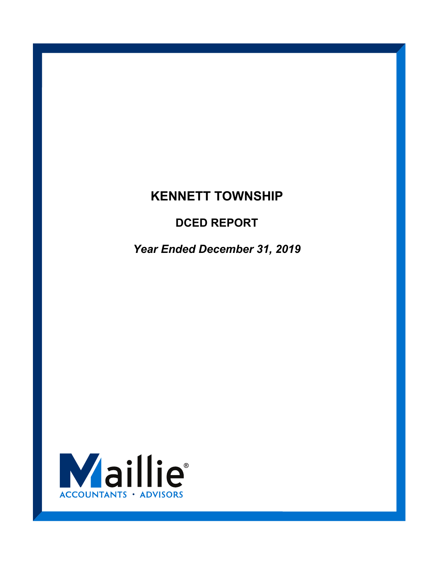### **KENNETT TOWNSHIP**

### **DCED REPORT**

*Year Ended December 31, 2019* 

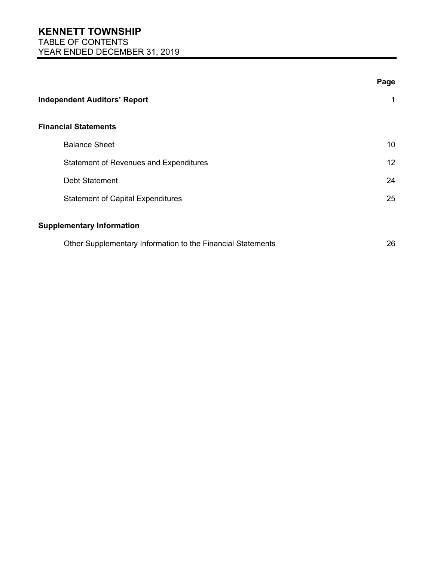|                                                             | Page |
|-------------------------------------------------------------|------|
| <b>Independent Auditors' Report</b>                         | 1    |
| <b>Financial Statements</b>                                 |      |
| <b>Balance Sheet</b>                                        | 10   |
| <b>Statement of Revenues and Expenditures</b>               | 12   |
| <b>Debt Statement</b>                                       | 24   |
| <b>Statement of Capital Expenditures</b>                    | 25   |
| <b>Supplementary Information</b>                            |      |
| Other Supplementary Information to the Financial Statements | 26   |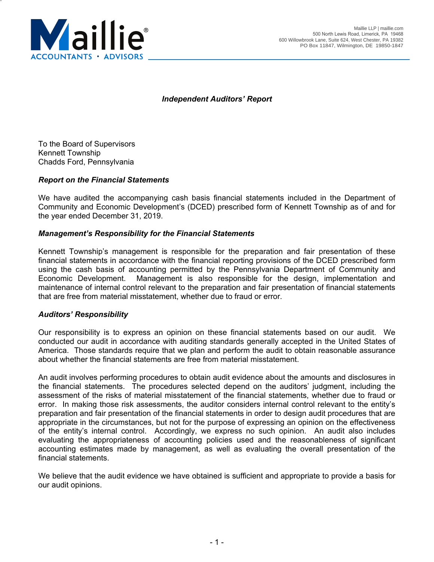

#### *Independent Auditors' Report*

To the Board of Supervisors Kennett Township Chadds Ford, Pennsylvania

#### *Report on the Financial Statements*

We have audited the accompanying cash basis financial statements included in the Department of Community and Economic Development's (DCED) prescribed form of Kennett Township as of and for the year ended December 31, 2019.

#### *Management's Responsibility for the Financial Statements*

Kennett Township's management is responsible for the preparation and fair presentation of these financial statements in accordance with the financial reporting provisions of the DCED prescribed form using the cash basis of accounting permitted by the Pennsylvania Department of Community and Economic Development. Management is also responsible for the design, implementation and maintenance of internal control relevant to the preparation and fair presentation of financial statements that are free from material misstatement, whether due to fraud or error.

#### *Auditors' Responsibility*

Our responsibility is to express an opinion on these financial statements based on our audit. We conducted our audit in accordance with auditing standards generally accepted in the United States of America. Those standards require that we plan and perform the audit to obtain reasonable assurance about whether the financial statements are free from material misstatement.

An audit involves performing procedures to obtain audit evidence about the amounts and disclosures in the financial statements. The procedures selected depend on the auditors' judgment, including the assessment of the risks of material misstatement of the financial statements, whether due to fraud or error. In making those risk assessments, the auditor considers internal control relevant to the entity's preparation and fair presentation of the financial statements in order to design audit procedures that are appropriate in the circumstances, but not for the purpose of expressing an opinion on the effectiveness of the entity's internal control. Accordingly, we express no such opinion. An audit also includes evaluating the appropriateness of accounting policies used and the reasonableness of significant accounting estimates made by management, as well as evaluating the overall presentation of the financial statements.

We believe that the audit evidence we have obtained is sufficient and appropriate to provide a basis for our audit opinions.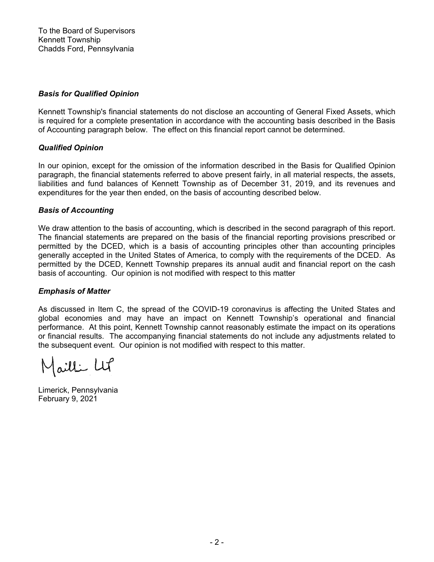#### *Basis for Qualified Opinion*

Kennett Township's financial statements do not disclose an accounting of General Fixed Assets, which is required for a complete presentation in accordance with the accounting basis described in the Basis of Accounting paragraph below. The effect on this financial report cannot be determined.

#### *Qualified Opinion*

In our opinion, except for the omission of the information described in the Basis for Qualified Opinion paragraph, the financial statements referred to above present fairly, in all material respects, the assets, liabilities and fund balances of Kennett Township as of December 31, 2019, and its revenues and expenditures for the year then ended, on the basis of accounting described below.

#### *Basis of Accounting*

We draw attention to the basis of accounting, which is described in the second paragraph of this report. The financial statements are prepared on the basis of the financial reporting provisions prescribed or permitted by the DCED, which is a basis of accounting principles other than accounting principles generally accepted in the United States of America, to comply with the requirements of the DCED. As permitted by the DCED, Kennett Township prepares its annual audit and financial report on the cash basis of accounting. Our opinion is not modified with respect to this matter

#### *Emphasis of Matter*

As discussed in Item C, the spread of the COVID-19 coronavirus is affecting the United States and global economies and may have an impact on Kennett Township's operational and financial performance. At this point, Kennett Township cannot reasonably estimate the impact on its operations or financial results. The accompanying financial statements do not include any adjustments related to the subsequent event. Our opinion is not modified with respect to this matter.

Mailli Lt

Limerick, Pennsylvania February 9, 2021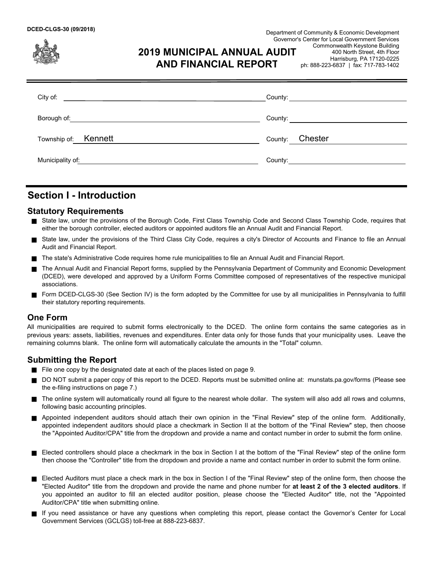**2019 MUNICIPAL ANNUAL AUDIT AND FINANCIAL REPORT** Department of Community & Economic Development Governor's Center for Local Government Services Commonwealth Keystone Building 400 North Street, 4th Floor Harrisburg, PA 17120-0225 ph: 888-223-6837 | fax: 717-783-1402

| City of:<br><u> 1980 - Jan James James Barbara, politik eta politik eta politik eta politik eta politik eta politik eta polit</u> |                        |
|-----------------------------------------------------------------------------------------------------------------------------------|------------------------|
| Borough of:<br><u> 1980 - Andrea Andrew Maria (b. 1980)</u>                                                                       | County:                |
| Township of: Kennett                                                                                                              | County: Chester        |
| Municipality of:                                                                                                                  | County:_______________ |

### **Section I - Introduction**

#### **Statutory Requirements**

- State law, under the provisions of the Borough Code, First Class Township Code and Second Class Township Code, requires that either the borough controller, elected auditors or appointed auditors file an Annual Audit and Financial Report.
- $\blacksquare$ State law, under the provisions of the Third Class City Code, requires a city's Director of Accounts and Finance to file an Annual Audit and Financial Report.
- The state's Administrative Code requires home rule municipalities to file an Annual Audit and Financial Report.
- $\blacksquare$ The Annual Audit and Financial Report forms, supplied by the Pennsylvania Department of Community and Economic Development (DCED), were developed and approved by a Uniform Forms Committee composed of representatives of the respective municipal associations.
- Form DCED-CLGS-30 (See Section IV) is the form adopted by the Committee for use by all municipalities in Pennsylvania to fulfill their statutory reporting requirements.

#### **One Form**

All municipalities are required to submit forms electronically to the DCED. The online form contains the same categories as in previous years: assets, liabilities, revenues and expenditures. Enter data only for those funds that your municipality uses. Leave the remaining columns blank. The online form will automatically calculate the amounts in the "Total" column.

#### **Submitting the Report**

- File one copy by the designated date at each of the places listed on page 9.
- $\blacksquare$ DO NOT submit a paper copy of this report to the DCED. Reports must be submitted online at: munstats.pa.gov/forms (Please see the e-filing instructions on page 7.)
- The online system will automatically round all figure to the nearest whole dollar. The system will also add all rows and columns, following basic accounting principles.
- Appointed independent auditors should attach their own opinion in the "Final Review" step of the online form. Additionally, appointed independent auditors should place a checkmark in Section II at the bottom of the "Final Review" step, then choose the "Appointed Auditor/CPA" title from the dropdown and provide a name and contact number in order to submit the form online.
- Elected controllers should place a checkmark in the box in Section I at the bottom of the "Final Review" step of the online form then choose the "Controller" title from the dropdown and provide a name and contact number in order to submit the form online.
- Elected Auditors must place a check mark in the box in Section I of the "Final Review" step of the online form, then choose the "Elected Auditor" title from the dropdown and provide the name and phone number for **at least 2 of the 3 elected auditors**. If you appointed an auditor to fill an elected auditor position, please choose the "Elected Auditor" title, not the "Appointed Auditor/CPA" title when submitting online.
- If you need assistance or have any questions when completing this report, please contact the Governor's Center for Local Government Services (GCLGS) toll-free at 888-223-6837.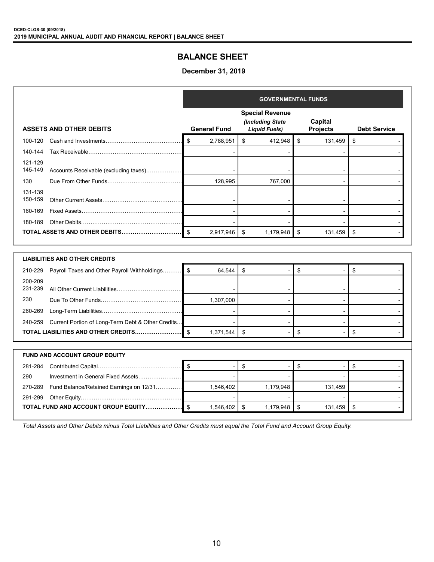#### **BALANCE SHEET**

#### **December 31, 2019**

|                    |                                                      |      | <b>GOVERNMENTAL FUNDS</b> |    |                                                                    |     |                            |                     |  |  |
|--------------------|------------------------------------------------------|------|---------------------------|----|--------------------------------------------------------------------|-----|----------------------------|---------------------|--|--|
|                    | <b>ASSETS AND OTHER DEBITS</b>                       |      | <b>General Fund</b>       |    | <b>Special Revenue</b><br>(Including State<br><b>Liquid Fuels)</b> |     | Capital<br><b>Projects</b> | <b>Debt Service</b> |  |  |
| 100-120            |                                                      |      | 2,788,951                 | \$ | 412,948                                                            | \$  | 131,459                    | \$                  |  |  |
| 140-144            |                                                      |      |                           |    |                                                                    |     |                            |                     |  |  |
| 121-129<br>145-149 | Accounts Receivable (excluding taxes)                |      |                           |    |                                                                    |     |                            |                     |  |  |
| 130                |                                                      |      | 128,995                   |    | 767,000                                                            |     |                            |                     |  |  |
| 131-139<br>150-159 |                                                      |      |                           |    |                                                                    |     |                            |                     |  |  |
| 160-169            |                                                      |      |                           |    |                                                                    |     |                            |                     |  |  |
| 180-189            |                                                      |      |                           |    |                                                                    |     |                            |                     |  |  |
|                    |                                                      |      | 2,917,946                 | \$ | 1,179,948                                                          | -\$ | 131,459                    | \$                  |  |  |
|                    |                                                      |      |                           |    |                                                                    |     |                            |                     |  |  |
|                    | <b>LIABILITIES AND OTHER CREDITS</b>                 |      |                           |    |                                                                    |     |                            |                     |  |  |
|                    | 210-229 Payroll Taxes and Other Payroll Withholdings | - \$ | 64 544 \$                 |    |                                                                    | -\$ |                            | -\$                 |  |  |

| 210-229 Payroll Taxes and Other Payroll Withholdings         | 64.544    |  |  |
|--------------------------------------------------------------|-----------|--|--|
| 200-209<br>231-239                                           |           |  |  |
| 230                                                          | 1.307.000 |  |  |
| 260-269                                                      |           |  |  |
| Current Portion of Long-Term Debt & Other Credits<br>240-259 |           |  |  |
|                                                              | 1,371,544 |  |  |

| <b>FUND AND ACCOUNT GROUP EQUITY</b>               |                          |           |         |  |
|----------------------------------------------------|--------------------------|-----------|---------|--|
| 281-284                                            | $\overline{\phantom{0}}$ |           |         |  |
| 290<br>Investment in General Fixed Assets          |                          |           |         |  |
| Fund Balance/Retained Earnings on 12/31<br>270-289 | 1.546.402                | 1,179,948 | 131.459 |  |
| 291-299                                            |                          |           |         |  |
|                                                    | 1,546,402                | 1.179.948 | 131.459 |  |
|                                                    |                          |           |         |  |

*Total Assets and Other Debits minus Total Liabilities and Other Credits must equal the Total Fund and Account Group Equity.*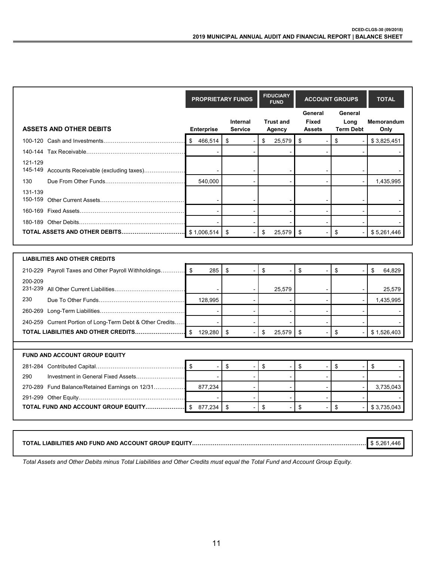|                                                             |                   | <b>PROPRIETARY FUNDS</b>   | <b>FIDUCIARY</b><br><b>FUND</b> | <b>ACCOUNT GROUPS</b>             | <b>TOTAL</b>                        |                           |
|-------------------------------------------------------------|-------------------|----------------------------|---------------------------------|-----------------------------------|-------------------------------------|---------------------------|
| <b>ASSETS AND OTHER DEBITS</b>                              | <b>Enterprise</b> | Internal<br><b>Service</b> | <b>Trust and</b><br>Agency      | General<br>Fixed<br><b>Assets</b> | General<br>Long<br><b>Term Debt</b> | <b>Memorandum</b><br>Only |
|                                                             | \$<br>466,514     | \$                         | \$<br>25,579                    | \$                                | S                                   | \$3,825,451               |
|                                                             |                   |                            |                                 |                                   |                                     |                           |
| 121-129<br>145-149<br>Accounts Receivable (excluding taxes) |                   |                            |                                 |                                   |                                     |                           |
| 130                                                         | 540.000           |                            |                                 |                                   |                                     | 1,435,995                 |
| 131-139<br>150-159                                          |                   |                            |                                 |                                   |                                     |                           |
|                                                             |                   |                            |                                 |                                   |                                     |                           |
|                                                             |                   |                            |                                 |                                   |                                     |                           |
|                                                             | \$1,006,514       | \$                         | \$<br>25,579                    | - \$                              | S                                   | \$5,261,446               |

| <b>LIABILITIES AND OTHER CREDITS</b>                      |     |         |   |             |  |             |
|-----------------------------------------------------------|-----|---------|---|-------------|--|-------------|
| 210-229 Payroll Taxes and Other Payroll Withholdings      |     | 285     |   |             |  | 64,829      |
| 200-209                                                   |     |         |   | 25.579      |  | 25,579      |
| 230                                                       |     | 128,995 |   |             |  | 1,435,995   |
|                                                           |     |         |   |             |  |             |
| 240-259 Current Portion of Long-Term Debt & Other Credits |     |         |   |             |  |             |
|                                                           | -\$ | 129,280 | - | 25,579<br>S |  | \$1,526,403 |

| <b>FUND AND ACCOUNT GROUP EQUITY</b>            |         |   |   |             |
|-------------------------------------------------|---------|---|---|-------------|
|                                                 |         | - |   |             |
| 290<br>Investment in General Fixed Assets       |         |   |   |             |
| 270-289 Fund Balance/Retained Earnings on 12/31 | 877.234 |   |   | 3,735,043   |
|                                                 |         |   |   |             |
| TOTAL FUND AND ACCOUNT GROUP EQUITY             | 877.234 | - | - | \$3,735,043 |

#### **TOTAL LIABILITIES AND FUND AND ACCOUNT GROUP EQUITY……………………………………………………………………………………**\$ 5,261,446

*Total Assets and Other Debits minus Total Liabilities and Other Credits must equal the Total Fund and Account Group Equity.*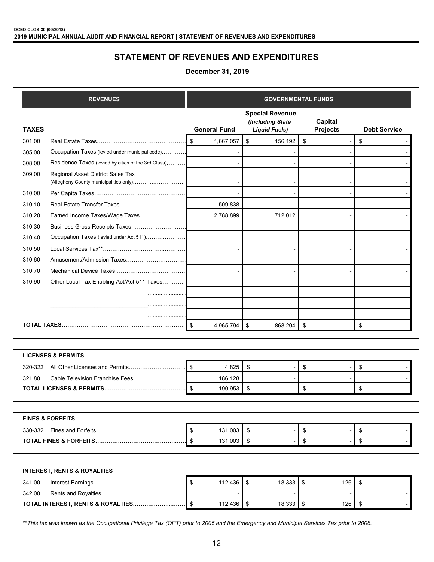#### **STATEMENT OF REVENUES AND EXPENDITURES**

 **December 31, 2019**

|              | <b>REVENUES</b>                                                             |                           |                                                                    | <b>GOVERNMENTAL FUNDS</b>      |                     |
|--------------|-----------------------------------------------------------------------------|---------------------------|--------------------------------------------------------------------|--------------------------------|---------------------|
| <b>TAXES</b> |                                                                             | <b>General Fund</b>       | <b>Special Revenue</b><br>(Including State<br><b>Liquid Fuels)</b> | Capital<br><b>Projects</b>     | <b>Debt Service</b> |
| 301.00       |                                                                             | \$<br>1,667,057           | \$<br>156,192                                                      | \$                             | \$                  |
| 305.00       | Occupation Taxes (levied under municipal code)                              |                           |                                                                    |                                |                     |
| 308.00       | Residence Taxes (levied by cities of the 3rd Class)                         |                           |                                                                    |                                |                     |
| 309.00       | Regional Asset District Sales Tax<br>(Allegheny County municipalities only) |                           |                                                                    |                                |                     |
| 310.00       |                                                                             |                           |                                                                    |                                |                     |
| 310.10       |                                                                             | 509,838                   |                                                                    |                                |                     |
| 310.20       | Earned Income Taxes/Wage Taxes                                              | 2,788,899                 | 712,012                                                            |                                |                     |
| 310.30       | Business Gross Receipts Taxes                                               |                           |                                                                    |                                |                     |
| 310.40       | Occupation Taxes (levied under Act 511)                                     |                           |                                                                    | $\overline{\phantom{a}}$       |                     |
| 310.50       |                                                                             |                           |                                                                    |                                |                     |
| 310.60       | Amusement/Admission Taxes                                                   |                           |                                                                    |                                |                     |
| 310.70       |                                                                             |                           |                                                                    |                                |                     |
| 310.90       | Other Local Tax Enabling Act/Act 511 Taxes                                  |                           |                                                                    |                                |                     |
|              |                                                                             |                           |                                                                    |                                |                     |
|              |                                                                             |                           |                                                                    |                                |                     |
|              |                                                                             |                           |                                                                    |                                |                     |
|              |                                                                             | \$<br>4,965,794           | \$<br>868,204                                                      | \$                             | \$                  |
|              |                                                                             |                           |                                                                    |                                |                     |
|              |                                                                             |                           |                                                                    |                                |                     |
|              | <b>LICENSES &amp; PERMITS</b>                                               |                           |                                                                    |                                |                     |
| 320-322      |                                                                             | 4,825                     | \$                                                                 | \$                             | \$                  |
| 321.80       |                                                                             | 186,128                   |                                                                    |                                |                     |
|              |                                                                             | $\mathfrak{L}$<br>190,953 | \$                                                                 | \$                             | \$                  |
|              |                                                                             |                           |                                                                    |                                |                     |
|              |                                                                             |                           |                                                                    |                                |                     |
|              | <b>FINES &amp; FORFEITS</b>                                                 |                           |                                                                    |                                |                     |
|              |                                                                             | $\sqrt{3}$<br>131,003     | \$<br>$\sim$                                                       | \$<br>$\overline{\phantom{a}}$ | \$                  |

|        | <b>INTEREST, RENTS &amp; ROYALTIES</b> |         |        |     |  |
|--------|----------------------------------------|---------|--------|-----|--|
| 341.00 |                                        | 112.436 | 18.333 | 126 |  |
| 342.00 |                                        |         |        |     |  |
|        | TOTAL INTEREST, RENTS & ROYALTIES      | 112.436 | 18,333 | 126 |  |

\*\**This tax was known as the Occupational Privilege Tax (OPT) prior to 2005 and the Emergency and Municipal Services Tax prior to 2008.*

**TOTAL FINES & FORFEITS…………………………………………** \$ 131,003 \$ - \$ - \$ -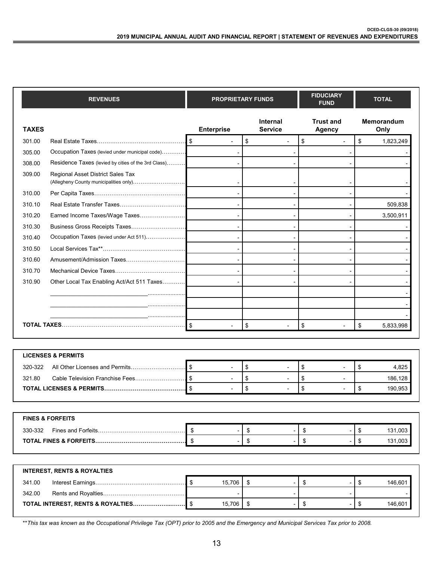|              | <b>REVENUES</b>                                                             |                                        | <b>PROPRIETARY FUNDS</b>          | <b>FIDUCIARY</b><br><b>FUND</b>   | <b>TOTAL</b>       |
|--------------|-----------------------------------------------------------------------------|----------------------------------------|-----------------------------------|-----------------------------------|--------------------|
| <b>TAXES</b> |                                                                             | <b>Enterprise</b>                      | <b>Internal</b><br><b>Service</b> | <b>Trust and</b><br><b>Agency</b> | Memorandum<br>Only |
| 301.00       |                                                                             | \$                                     | \$                                | \$<br>$\overline{\phantom{a}}$    | \$<br>1,823,249    |
| 305.00       | Occupation Taxes (levied under municipal code)                              |                                        |                                   |                                   |                    |
| 308.00       | Residence Taxes (levied by cities of the 3rd Class)                         |                                        |                                   |                                   |                    |
| 309.00       | Regional Asset District Sales Tax<br>(Allegheny County municipalities only) |                                        |                                   |                                   |                    |
| 310.00       |                                                                             |                                        |                                   |                                   |                    |
| 310.10       |                                                                             |                                        |                                   |                                   | 509,838            |
| 310.20       | Earned Income Taxes/Wage Taxes                                              |                                        |                                   |                                   | 3,500,911          |
| 310.30       | Business Gross Receipts Taxes                                               |                                        |                                   |                                   |                    |
| 310.40       | Occupation Taxes (levied under Act 511)                                     |                                        |                                   |                                   |                    |
| 310.50       |                                                                             |                                        |                                   |                                   |                    |
| 310.60       | Amusement/Admission Taxes                                                   |                                        |                                   |                                   |                    |
| 310.70       |                                                                             |                                        |                                   |                                   |                    |
| 310.90       | Other Local Tax Enabling Act/Act 511 Taxes                                  |                                        |                                   |                                   |                    |
|              |                                                                             |                                        |                                   |                                   |                    |
|              |                                                                             |                                        |                                   |                                   |                    |
|              |                                                                             |                                        |                                   |                                   |                    |
|              |                                                                             | \$                                     | \$                                | \$                                | \$<br>5,833,998    |
|              |                                                                             |                                        |                                   |                                   |                    |
|              |                                                                             |                                        |                                   |                                   |                    |
|              | <b>LICENSES &amp; PERMITS</b>                                               |                                        |                                   |                                   |                    |
| 320-322      | All Other Licenses and Permits                                              | $\sqrt{3}$<br>$\overline{\phantom{a}}$ | \$<br>$\overline{\phantom{a}}$    | \$<br>$\blacksquare$              | \$<br>4,825        |
| 321.80       | Cable Television Franchise Fees                                             | \$<br>$\blacksquare$                   | \$<br>$\blacksquare$              | \$<br>$\blacksquare$              | 186,128            |
|              |                                                                             | \$                                     | \$                                | \$                                | \$<br>190,953      |
|              |                                                                             |                                        |                                   |                                   |                    |
|              | <b>FINES &amp; FORFEITS</b>                                                 |                                        |                                   |                                   |                    |
| 330-332      |                                                                             | \$                                     | \$                                | \$                                | \$<br>131,003      |
|              | <b>TOTAL FINES &amp; FORFEITS</b>                                           | \$                                     | \$                                | \$                                | \$<br>131,003      |
|              |                                                                             |                                        |                                   |                                   |                    |
|              |                                                                             |                                        |                                   |                                   |                    |
|              | <b>INTEREST, RENTS &amp; ROYALTIES</b>                                      |                                        |                                   |                                   |                    |

|        | INIERESI, RENIS & RUIALIIES |  |          |  |  |  |  |  |         |
|--------|-----------------------------|--|----------|--|--|--|--|--|---------|
| 341.00 |                             |  | 15.706 L |  |  |  |  |  | 146.601 |
| 342.00 |                             |  |          |  |  |  |  |  |         |
|        |                             |  | 15.706   |  |  |  |  |  | 146.601 |

\*\**This tax was known as the Occupational Privilege Tax (OPT) prior to 2005 and the Emergency and Municipal Services Tax prior to 2008.*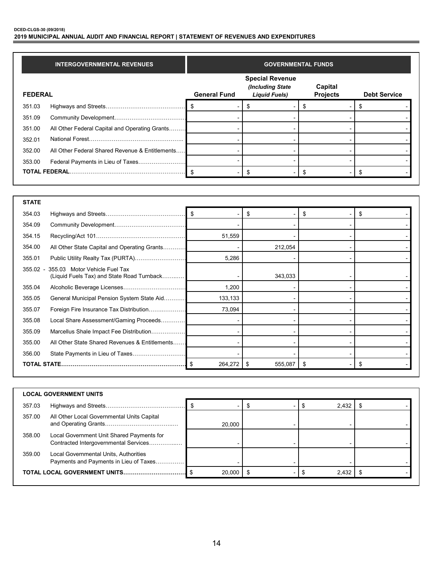#### **DCED-CLGS-30 (09/2018) 2019 MUNICIPAL ANNUAL AUDIT AND FINANCIAL REPORT | STATEMENT OF REVENUES AND EXPENDITURES**

|                | <b>INTERGOVERNMENTAL REVENUES</b>               | <b>GOVERNMENTAL FUNDS</b> |                                                                     |                            |                     |  |  |  |
|----------------|-------------------------------------------------|---------------------------|---------------------------------------------------------------------|----------------------------|---------------------|--|--|--|
| <b>FEDERAL</b> |                                                 | <b>General Fund</b>       | <b>Special Revenue</b><br>(Including State)<br><b>Liquid Fuels)</b> | Capital<br><b>Projects</b> | <b>Debt Service</b> |  |  |  |
| 351.03         |                                                 |                           |                                                                     |                            | ж                   |  |  |  |
| 351.09         |                                                 |                           |                                                                     |                            |                     |  |  |  |
| 351.00         | All Other Federal Capital and Operating Grants  |                           |                                                                     |                            |                     |  |  |  |
| 352.01         |                                                 |                           |                                                                     |                            |                     |  |  |  |
| 352.00         | All Other Federal Shared Revenue & Entitlements |                           |                                                                     |                            |                     |  |  |  |
| 353.00         | Federal Payments in Lieu of Taxes               |                           |                                                                     |                            |                     |  |  |  |
|                |                                                 |                           |                                                                     |                            |                     |  |  |  |

| <b>STATE</b> |                                                                             |              |         |          |
|--------------|-----------------------------------------------------------------------------|--------------|---------|----------|
| 354.03       |                                                                             |              | \$      | \$<br>\$ |
| 354.09       |                                                                             |              |         |          |
| 354.15       |                                                                             | 51,559       |         |          |
| 354.00       | All Other State Capital and Operating Grants                                |              | 212,054 |          |
| 355.01       | Public Utility Realty Tax (PURTA)                                           | 5,286        |         |          |
| $355.02 -$   | 355.03 Motor Vehicle Fuel Tax<br>(Liquid Fuels Tax) and State Road Turnback |              | 343,033 |          |
| 355.04       |                                                                             | 1,200        |         |          |
| 355.05       | General Municipal Pension System State Aid                                  | 133,133      |         |          |
| 355.07       | Foreign Fire Insurance Tax Distribution                                     | 73,094       |         |          |
| 355.08       | Local Share Assessment/Gaming Proceeds                                      |              |         |          |
| 355.09       | Marcellus Shale Impact Fee Distribution                                     |              |         |          |
| 355.00       | All Other State Shared Revenues & Entitlements                              |              |         |          |
| 356.00       | State Payments in Lieu of Taxes                                             |              |         |          |
|              |                                                                             | $264,272$ \$ | 555,087 | \$<br>S  |

|        | <b>LOCAL GOVERNMENT UNITS</b>                                                      |        |  |       |  |
|--------|------------------------------------------------------------------------------------|--------|--|-------|--|
| 357.03 |                                                                                    |        |  | 2,432 |  |
| 357.00 | All Other Local Governmental Units Capital                                         | 20,000 |  |       |  |
| 358.00 | Local Government Unit Shared Payments for<br>Contracted Intergovernmental Services |        |  |       |  |
| 359.00 | Local Governmental Units, Authorities<br>Payments and Payments in Lieu of Taxes    |        |  |       |  |
|        |                                                                                    | 20,000 |  | 2,432 |  |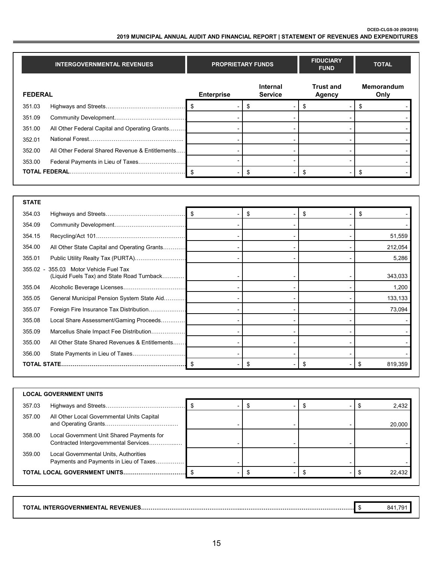#### **2019 MUNICIPAL ANNUAL AUDIT AND FINANCIAL REPORT | STATEMENT OF REVENUES AND EXPENDITURES**

|                | <b>INTERGOVERNMENTAL REVENUES</b>                                           |                   | <b>PROPRIETARY FUNDS</b>          | <b>FIDUCIARY</b><br><b>FUND</b>   | <b>TOTAL</b>              |
|----------------|-----------------------------------------------------------------------------|-------------------|-----------------------------------|-----------------------------------|---------------------------|
| <b>FEDERAL</b> |                                                                             | <b>Enterprise</b> | <b>Internal</b><br><b>Service</b> | <b>Trust and</b><br><b>Agency</b> | <b>Memorandum</b><br>Only |
| 351.03         |                                                                             |                   | \$                                | \$                                | \$                        |
| 351.09         |                                                                             |                   |                                   |                                   |                           |
| 351.00         | All Other Federal Capital and Operating Grants                              |                   |                                   |                                   |                           |
| 352.01         |                                                                             |                   |                                   |                                   |                           |
| 352.00         | All Other Federal Shared Revenue & Entitlements                             |                   |                                   |                                   |                           |
| 353.00         | Federal Payments in Lieu of Taxes                                           |                   |                                   |                                   |                           |
|                |                                                                             | $\sqrt{3}$        | \$                                | \$                                | \$                        |
|                |                                                                             |                   |                                   |                                   |                           |
|                |                                                                             |                   |                                   |                                   |                           |
| <b>STATE</b>   |                                                                             |                   |                                   |                                   |                           |
| 354.03         |                                                                             |                   | \$                                | \$                                | \$                        |
| 354.09         |                                                                             |                   |                                   |                                   |                           |
| 354.15         |                                                                             |                   |                                   |                                   | 51,559                    |
| 354.00         | All Other State Capital and Operating Grants                                |                   |                                   |                                   | 212,054                   |
| 355.01         | Public Utility Realty Tax (PURTA)                                           |                   |                                   |                                   | 5,286                     |
| $355.02 -$     | 355.03 Motor Vehicle Fuel Tax<br>(Liquid Fuels Tax) and State Road Turnback |                   |                                   |                                   | 343,033                   |
| 355.04         |                                                                             |                   |                                   |                                   | 1,200                     |
| 355.05         | General Municipal Pension System State Aid                                  |                   |                                   |                                   | 133,133                   |
| 355.07         | Foreign Fire Insurance Tax Distribution                                     |                   |                                   |                                   | 73,094                    |
| 355.08         | Local Share Assessment/Gaming Proceeds                                      |                   |                                   |                                   |                           |
| 355.09         | Marcellus Shale Impact Fee Distribution                                     |                   |                                   |                                   |                           |
| 355.00         | All Other State Shared Revenues & Entitlements                              |                   |                                   |                                   |                           |
| 356.00         | State Payments in Lieu of Taxes                                             |                   |                                   |                                   |                           |

|        | <b>LOCAL GOVERNMENT UNITS</b>                                                      |  |        |
|--------|------------------------------------------------------------------------------------|--|--------|
| 357.03 |                                                                                    |  | 2.432  |
| 357.00 | All Other Local Governmental Units Capital                                         |  | 20,000 |
| 358.00 | Local Government Unit Shared Payments for<br>Contracted Intergovernmental Services |  |        |
| 359.00 | Local Governmental Units, Authorities<br>Payments and Payments in Lieu of Taxes    |  |        |
|        |                                                                                    |  | 22.432 |
|        |                                                                                    |  |        |

**TOTAL STATE…………………….……………………………………** \$ - \$ - \$ - \$ 819,359

| <b>NUINTERGOVERNMENTAL REVENUES.</b> | 791<br>×1 |
|--------------------------------------|-----------|
|                                      |           |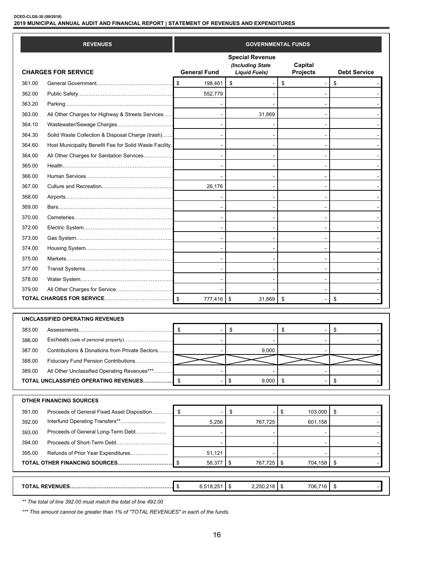**2019 MUNICIPAL ANNUAL AUDIT AND FINANCIAL REPORT | STATEMENT OF REVENUES AND EXPENDITURES**

|        | <b>REVENUES</b>                                         | <b>GOVERNMENTAL FUNDS</b> |                                                                    |                     |                     |  |  |
|--------|---------------------------------------------------------|---------------------------|--------------------------------------------------------------------|---------------------|---------------------|--|--|
|        | <b>CHARGES FOR SERVICE</b>                              | <b>General Fund</b>       | <b>Special Revenue</b><br>(Including State<br><b>Liquid Fuels)</b> | Capital<br>Projects | <b>Debt Service</b> |  |  |
| 361.00 |                                                         | \$<br>198,461             | \$                                                                 | \$                  | \$                  |  |  |
| 362.00 |                                                         | 552,779                   |                                                                    |                     |                     |  |  |
| 363.20 |                                                         |                           |                                                                    |                     |                     |  |  |
| 363.00 | All Other Charges for Highway & Streets Services        |                           | 31,869                                                             |                     |                     |  |  |
| 364.10 | Wastewater/Sewage Charges                               |                           |                                                                    |                     |                     |  |  |
| 364.30 | Solid Waste Collection & Disposal Charge (trash)        |                           |                                                                    |                     |                     |  |  |
| 364.60 | Host Municipality Benefit Fee for Solid Waste Facility. |                           |                                                                    |                     |                     |  |  |
| 364.00 | All Other Charges for Sanitation Services               |                           |                                                                    |                     |                     |  |  |
| 365.00 |                                                         |                           |                                                                    |                     |                     |  |  |
| 366.00 |                                                         |                           |                                                                    |                     |                     |  |  |
| 367.00 |                                                         | 26,176                    |                                                                    |                     |                     |  |  |
| 368.00 |                                                         |                           |                                                                    |                     |                     |  |  |
| 369.00 |                                                         |                           |                                                                    |                     |                     |  |  |
| 370.00 |                                                         |                           |                                                                    |                     |                     |  |  |
| 372.00 |                                                         |                           |                                                                    |                     |                     |  |  |
| 373.00 |                                                         |                           |                                                                    |                     |                     |  |  |
| 374.00 |                                                         |                           |                                                                    |                     |                     |  |  |
| 375.00 |                                                         |                           |                                                                    |                     |                     |  |  |
| 377.00 |                                                         |                           |                                                                    |                     |                     |  |  |
| 378.00 |                                                         |                           |                                                                    |                     |                     |  |  |
| 379.00 |                                                         |                           |                                                                    |                     |                     |  |  |
|        |                                                         | $\mathfrak{S}$<br>777,416 | \$<br>31,869                                                       | \$                  | \$                  |  |  |
|        |                                                         |                           |                                                                    |                     |                     |  |  |
|        | <b>UNCLASSIFIED OPERATING REVENUES</b>                  |                           |                                                                    |                     |                     |  |  |
| 383.00 |                                                         | \$                        | \$                                                                 | \$                  | \$                  |  |  |
| 386.00 | Escheats (sale of personal property)                    |                           |                                                                    |                     |                     |  |  |
| 387.00 | Contributions & Donations from Private Sectors          |                           | 9,000                                                              |                     |                     |  |  |
| 388.00 | Fiduciary Fund Pension Contributions                    |                           |                                                                    |                     |                     |  |  |
| 389.00 | All Other Unclassified Operating Revenues***            |                           |                                                                    |                     |                     |  |  |
|        | TOTAL UNCLASSIFIED OPERATING REVENUES                   | \$                        | \$<br>9,000                                                        | \$                  | \$                  |  |  |

|        | <b>OTHER FINANCING SOURCES</b>     |        |            |              |  |
|--------|------------------------------------|--------|------------|--------------|--|
| 391.00 |                                    |        |            | 103,000      |  |
| 392.00 |                                    | 5,256  | 767,725    | 601,158      |  |
| 393.00 | Proceeds of General Long-Term Debt |        |            |              |  |
| 394.00 |                                    |        |            |              |  |
| 395.00 |                                    | 51,121 |            |              |  |
|        |                                    | 56,377 | 767,725 \$ | $704,158$ \$ |  |
|        |                                    |        |            |              |  |
|        |                                    |        |            |              |  |

**TOTAL REVENUES……………………………………….……………**\$ 6,518,251 \$ 2,250,218 \$ 706,716 \$ -

*\*\* The total of line 392.00 must match the total of line 492.00*

*\*\*\* This amount cannot be greater than 1% of "TOTAL REVENUES" in each of the funds.*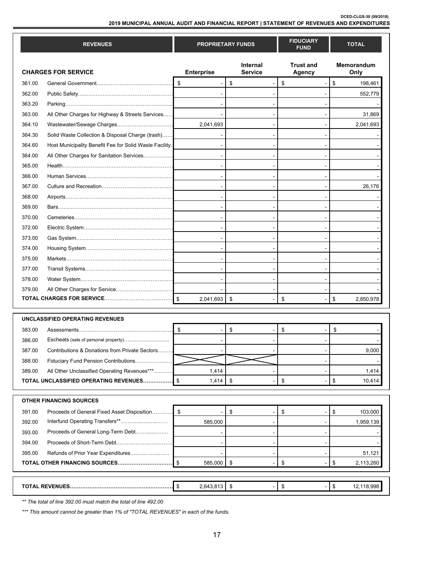**2019 MUNICIPAL ANNUAL AUDIT AND FINANCIAL REPORT | STATEMENT OF REVENUES AND EXPENDITURES**

|        | <b>REVENUES</b>                                         |                                    | <b>PROPRIETARY FUNDS</b> | <b>FIDUCIARY</b><br><b>FUND</b> | <b>TOTAL</b>      |
|--------|---------------------------------------------------------|------------------------------------|--------------------------|---------------------------------|-------------------|
|        |                                                         |                                    | <b>Internal</b>          | <b>Trust and</b>                | <b>Memorandum</b> |
|        | <b>CHARGES FOR SERVICE</b>                              | <b>Enterprise</b>                  | <b>Service</b>           | <b>Agency</b>                   | Only              |
| 361.00 |                                                         | \$                                 | \$                       | \$                              | \$<br>198,461     |
| 362.00 |                                                         |                                    |                          |                                 | 552,779           |
| 363.20 |                                                         |                                    |                          |                                 |                   |
| 363.00 | All Other Charges for Highway & Streets Services        |                                    |                          |                                 | 31,869            |
| 364.10 | Wastewater/Sewage Charges                               | 2,041,693                          |                          |                                 | 2,041,693         |
| 364.30 | Solid Waste Collection & Disposal Charge (trash)        |                                    |                          |                                 |                   |
| 364.60 | Host Municipality Benefit Fee for Solid Waste Facility. |                                    |                          |                                 |                   |
| 364.00 | All Other Charges for Sanitation Services               |                                    |                          |                                 |                   |
| 365.00 |                                                         |                                    |                          |                                 |                   |
| 366.00 |                                                         |                                    |                          |                                 |                   |
| 367.00 |                                                         |                                    |                          |                                 | 26,176            |
| 368.00 |                                                         |                                    |                          |                                 |                   |
| 369.00 |                                                         |                                    |                          |                                 |                   |
| 370.00 |                                                         |                                    |                          |                                 |                   |
| 372.00 |                                                         |                                    |                          |                                 |                   |
| 373.00 |                                                         |                                    |                          |                                 |                   |
| 374.00 |                                                         |                                    |                          |                                 |                   |
| 375.00 |                                                         |                                    |                          |                                 |                   |
| 377.00 |                                                         |                                    |                          |                                 |                   |
| 378.00 |                                                         |                                    |                          |                                 |                   |
| 379.00 |                                                         |                                    |                          |                                 |                   |
|        |                                                         | $\mathfrak{s}$<br>2,041,693        | \$                       | \$                              | \$<br>2,850,978   |
|        |                                                         |                                    |                          |                                 |                   |
|        | UNCLASSIFIED OPERATING REVENUES                         |                                    |                          |                                 |                   |
| 383.00 |                                                         | \$                                 | \$                       | \$                              | \$                |
| 386.00 | Escheats (sale of personal property)                    |                                    |                          |                                 |                   |
| 387.00 | Contributions & Donations from Private Sectors          |                                    |                          |                                 | 9,000             |
| 388.00 | Fiduciary Fund Pension Contributions                    |                                    |                          |                                 |                   |
| 389.00 | All Other Unclassified Operating Revenues***            | 1,414                              |                          |                                 | 1,414             |
|        | TOTAL UNCLASSIFIED OPERATING REVENUES                   | $\boldsymbol{\mathsf{s}}$<br>1,414 | \$                       | \$                              | \$<br>10,414      |
|        |                                                         |                                    |                          |                                 |                   |
|        | <b>OTHER FINANCING SOURCES</b>                          |                                    |                          |                                 |                   |
| 391.00 | Proceeds of General Fixed Asset Disposition             | \$                                 | \$                       | \$                              | \$<br>103,000     |
| 392.00 | Interfund Operating Transfers**                         | 585,000                            |                          |                                 | 1,959,139         |
| 393.00 | Proceeds of General Long-Term Debt                      |                                    |                          |                                 |                   |
| 394.00 | Proceeds of Short-Term Debt                             |                                    |                          |                                 |                   |
| 395.00 | Refunds of Prior Year Expenditures                      |                                    |                          |                                 | 51,121            |
|        | TOTAL OTHER FINANCING SOURCES                           | $\boldsymbol{\$}$<br>585,000       | \$                       | \$                              | \$<br>2,113,260   |
|        |                                                         |                                    |                          |                                 |                   |
|        |                                                         | \$<br>2,643,813                    | \$                       | $\,$                            | \$<br>12,118,998  |
|        |                                                         |                                    |                          |                                 |                   |

*\*\* The total of line 392.00 must match the total of line 492.00*

*\*\*\* This amount cannot be greater than 1% of "TOTAL REVENUES" in each of the funds.*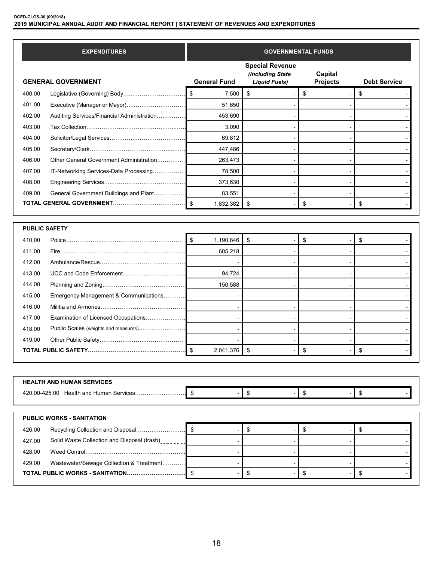419.00 Other Public Safety………………………………………… - - - -

| <b>EXPENDITURES</b>       |                                                                                                                                                                                                          |                                                     |                                                                    | <b>GOVERNMENTAL FUNDS</b>  |                     |
|---------------------------|----------------------------------------------------------------------------------------------------------------------------------------------------------------------------------------------------------|-----------------------------------------------------|--------------------------------------------------------------------|----------------------------|---------------------|
| <b>GENERAL GOVERNMENT</b> |                                                                                                                                                                                                          | <b>General Fund</b>                                 | <b>Special Revenue</b><br>(Including State<br><b>Liquid Fuels)</b> | Capital<br><b>Projects</b> | <b>Debt Service</b> |
|                           | Legislative (Governing) Body                                                                                                                                                                             | $\sqrt{3}$<br>7,500                                 | \$                                                                 | \$                         | \$                  |
|                           | Executive (Manager or Mayor)                                                                                                                                                                             | 51.650                                              |                                                                    |                            |                     |
|                           | Auditing Services/Financial Administration                                                                                                                                                               | 453,690                                             |                                                                    |                            |                     |
|                           |                                                                                                                                                                                                          | 3,090                                               |                                                                    |                            |                     |
|                           |                                                                                                                                                                                                          | 69,812                                              |                                                                    |                            |                     |
|                           |                                                                                                                                                                                                          | 447,486                                             |                                                                    |                            |                     |
|                           | Other General Government Administration                                                                                                                                                                  | 263,473                                             |                                                                    |                            |                     |
|                           |                                                                                                                                                                                                          | 78,500                                              |                                                                    |                            |                     |
|                           |                                                                                                                                                                                                          | 373,630                                             |                                                                    |                            |                     |
|                           |                                                                                                                                                                                                          |                                                     |                                                                    |                            |                     |
|                           |                                                                                                                                                                                                          | 1,832,382                                           | \$                                                                 | \$                         | \$                  |
|                           |                                                                                                                                                                                                          |                                                     |                                                                    |                            |                     |
|                           |                                                                                                                                                                                                          |                                                     |                                                                    |                            |                     |
|                           |                                                                                                                                                                                                          |                                                     |                                                                    |                            |                     |
|                           |                                                                                                                                                                                                          |                                                     |                                                                    |                            |                     |
|                           |                                                                                                                                                                                                          |                                                     |                                                                    |                            |                     |
|                           |                                                                                                                                                                                                          |                                                     |                                                                    |                            |                     |
|                           |                                                                                                                                                                                                          |                                                     |                                                                    |                            |                     |
|                           |                                                                                                                                                                                                          |                                                     |                                                                    |                            |                     |
|                           |                                                                                                                                                                                                          |                                                     |                                                                    |                            |                     |
|                           |                                                                                                                                                                                                          |                                                     |                                                                    |                            |                     |
|                           |                                                                                                                                                                                                          |                                                     |                                                                    |                            |                     |
| <b>PUBLIC SAFETY</b>      | IT-Networking Services-Data Processing<br>General Government Buildings and Plant<br>Emergency Management & Communications<br>Examination of Licensed Occupations<br>Public Scales (weights and measures) | 83,551<br>1,190,846<br>605,218<br>94,724<br>150,588 | \$                                                                 | \$                         | \$                  |

| <b>HEALTH AND HUMAN SERVICES</b>                      |  |  |  |  |  |  |
|-------------------------------------------------------|--|--|--|--|--|--|
|                                                       |  |  |  |  |  |  |
|                                                       |  |  |  |  |  |  |
| <b>PUBLIC WORKS - SANITATION</b>                      |  |  |  |  |  |  |
| 426.00                                                |  |  |  |  |  |  |
| Solid Waste Collection and Disposal (trash)<br>427.00 |  |  |  |  |  |  |
| 428.00                                                |  |  |  |  |  |  |
| Wastewater/Sewage Collection & Treatment<br>429.00    |  |  |  |  |  |  |
|                                                       |  |  |  |  |  |  |

**TOTAL PUBLIC SAFETY………………………..……………………** \$ 2,041,376 \$ - \$ - \$ -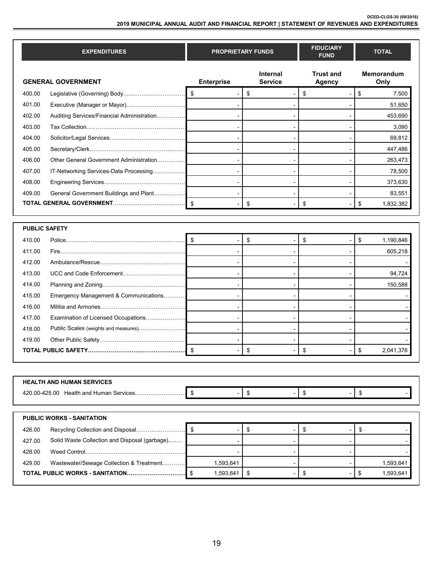**2019 MUNICIPAL ANNUAL AUDIT AND FINANCIAL REPORT | STATEMENT OF REVENUES AND EXPENDITURES**

|        | <b>EXPENDITURES</b>                           |                   | <b>PROPRIETARY FUNDS</b>       | <b>FIDUCIARY</b><br><b>FUND</b>   | <b>TOTAL</b>       |
|--------|-----------------------------------------------|-------------------|--------------------------------|-----------------------------------|--------------------|
|        | <b>GENERAL GOVERNMENT</b>                     | <b>Enterprise</b> | Internal<br><b>Service</b>     | <b>Trust and</b><br><b>Agency</b> | Memorandum<br>Only |
| 400.00 |                                               | \$                | \$                             | \$                                | \$<br>7,500        |
| 401.00 | Executive (Manager or Mayor)                  |                   |                                |                                   | 51,650             |
| 402.00 | Auditing Services/Financial Administration    |                   |                                |                                   | 453,690            |
| 403.00 |                                               |                   |                                |                                   | 3,090              |
| 404.00 |                                               |                   |                                |                                   | 69,812             |
| 405.00 |                                               |                   |                                |                                   | 447,486            |
| 406.00 | Other General Government Administration       |                   |                                |                                   | 263,473            |
| 407.00 | IT-Networking Services-Data Processing        |                   |                                |                                   | 78,500             |
| 408.00 |                                               |                   |                                |                                   | 373,630            |
| 409.00 | General Government Buildings and Plant        |                   |                                |                                   | 83,551             |
|        |                                               |                   | \$                             | \$                                | \$<br>1,832,382    |
|        |                                               |                   |                                |                                   |                    |
|        | <b>PUBLIC SAFETY</b>                          |                   |                                |                                   |                    |
| 410.00 |                                               | $\sqrt{3}$        | \$                             | \$                                | \$<br>1,190,846    |
| 411.00 |                                               |                   |                                |                                   | 605,218            |
| 412.00 |                                               |                   |                                |                                   |                    |
| 413.00 |                                               |                   |                                |                                   | 94,724             |
| 414.00 |                                               |                   |                                |                                   | 150,588            |
| 415.00 | Emergency Management & Communications         |                   |                                |                                   |                    |
| 416.00 |                                               |                   |                                |                                   |                    |
| 417.00 | Examination of Licensed Occupations           |                   | $\overline{\phantom{a}}$       |                                   |                    |
| 418.00 | Public Scales (weights and measures)          |                   |                                |                                   |                    |
| 419.00 |                                               |                   |                                |                                   |                    |
|        |                                               | $\blacksquare$    | \$<br>$\overline{\phantom{a}}$ | \$                                | \$<br>2,041,376    |
|        |                                               |                   |                                |                                   |                    |
|        |                                               |                   |                                |                                   |                    |
|        | <b>HEALTH AND HUMAN SERVICES</b>              |                   |                                |                                   |                    |
|        | 420.00-425.00 Health and Human Services       | \$                | \$                             | \$                                | \$                 |
|        |                                               |                   |                                |                                   |                    |
|        | <b>PUBLIC WORKS - SANITATION</b>              |                   |                                |                                   |                    |
| 426.00 | Recycling Collection and Disposal             | \$                | \$                             | \$                                | \$                 |
| 427.00 | Solid Waste Collection and Disposal (garbage) |                   |                                |                                   |                    |
| 428.00 |                                               |                   |                                |                                   |                    |
| 429.00 | Wastewater/Sewage Collection & Treatment      | 1,593,641         |                                |                                   | 1,593,641          |
|        | TOTAL PUBLIC WORKS - SANITATION               | \$<br>1,593,641   | \$                             | \$                                | \$<br>1,593,641    |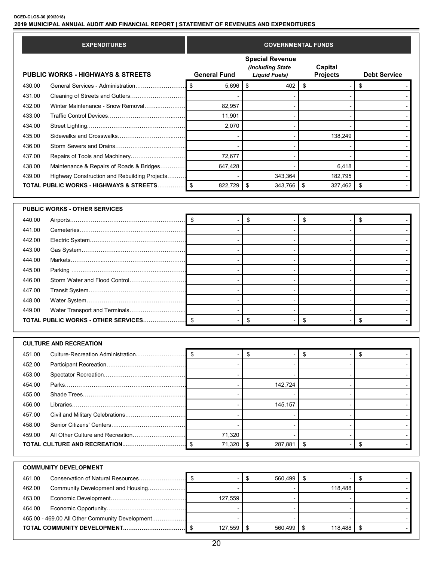#### **DCED-CLGS-30 (09/2018) 2019 MUNICIPAL ANNUAL AUDIT AND FINANCIAL REPORT | STATEMENT OF REVENUES AND EXPENDITURES**

|        | <b>EXPENDITURES</b>                          | <b>GOVERNMENTAL FUNDS</b> |                                            |                                |                     |  |
|--------|----------------------------------------------|---------------------------|--------------------------------------------|--------------------------------|---------------------|--|
|        |                                              |                           | <b>Special Revenue</b><br>(Including State | Capital                        |                     |  |
|        | <b>PUBLIC WORKS - HIGHWAYS &amp; STREETS</b> | <b>General Fund</b>       | <b>Liquid Fuels)</b>                       | <b>Projects</b>                | <b>Debt Service</b> |  |
| 430.00 | General Services - Administration            | \$<br>5,696               | \$<br>402                                  | \$                             | \$                  |  |
| 431.00 |                                              |                           |                                            |                                |                     |  |
| 432.00 | Winter Maintenance - Snow Removal            | 82,957                    |                                            |                                |                     |  |
| 433.00 |                                              | 11,901                    |                                            |                                |                     |  |
| 434.00 |                                              | 2,070                     |                                            |                                |                     |  |
| 435.00 |                                              |                           |                                            | 138,249                        |                     |  |
| 436.00 |                                              |                           |                                            |                                |                     |  |
| 437.00 | Repairs of Tools and Machinery               | 72,677                    |                                            |                                |                     |  |
| 438.00 | Maintenance & Repairs of Roads & Bridges     | 647,428                   |                                            | 6,418                          |                     |  |
| 439.00 | Highway Construction and Rebuilding Projects |                           | 343,364                                    | 182,795                        |                     |  |
|        | TOTAL PUBLIC WORKS - HIGHWAYS & STREETS      | \$<br>822,729             | \$<br>343,766                              | \$<br>327,462                  | \$                  |  |
|        |                                              |                           |                                            |                                |                     |  |
| 440.00 | <b>PUBLIC WORKS - OTHER SERVICES</b>         | \$                        | \$                                         | \$                             | \$                  |  |
| 441.00 |                                              |                           |                                            |                                |                     |  |
| 442.00 |                                              |                           |                                            |                                |                     |  |
| 443.00 |                                              |                           |                                            |                                |                     |  |
| 444.00 |                                              |                           |                                            |                                |                     |  |
| 445.00 |                                              |                           |                                            |                                |                     |  |
| 446.00 |                                              |                           |                                            |                                |                     |  |
| 447.00 |                                              |                           |                                            |                                |                     |  |
| 448.00 |                                              |                           |                                            |                                |                     |  |
| 449.00 | Water Transport and Terminals                |                           |                                            |                                |                     |  |
|        | <b>TOTAL PUBLIC WORKS - OTHER SERVICES</b>   | \$                        | \$                                         | \$                             | \$                  |  |
|        |                                              |                           |                                            |                                |                     |  |
|        | <b>CULTURE AND RECREATION</b>                |                           |                                            |                                |                     |  |
| 451.00 | Culture-Recreation Administration            |                           | \$                                         | \$<br>$\overline{\phantom{a}}$ | \$                  |  |
| 452.00 |                                              |                           |                                            |                                |                     |  |
| 453.00 |                                              |                           |                                            |                                |                     |  |
| 454.00 |                                              |                           | 142,724                                    |                                |                     |  |
| 455.00 |                                              |                           |                                            |                                |                     |  |
| 456.00 |                                              |                           | 145,157                                    |                                |                     |  |
| 457.00 |                                              |                           |                                            |                                |                     |  |
| 458.00 |                                              |                           |                                            |                                |                     |  |
| 459.00 |                                              | 71,320                    |                                            |                                |                     |  |
|        |                                              | $\mathfrak{s}$<br>71,320  | \$<br>287,881                              | \$                             | \$                  |  |
|        |                                              |                           |                                            |                                |                     |  |
|        | <b>COMMUNITY DEVELOPMENT</b>                 |                           |                                            |                                |                     |  |
| 461.00 | Conservation of Natural Resources            |                           | 560,499<br>\$                              | \$                             | \$                  |  |
| 462.00 | Community Development and Housing            |                           |                                            | 118,488                        |                     |  |
| 463.00 |                                              | 127,559                   |                                            |                                |                     |  |
| 464.00 |                                              |                           |                                            |                                |                     |  |

**TOTAL COMMUNITY DEVELOPMENT..……………………………**\$ 127,559 \$ 560,499 \$ 118,488 \$ -

465.00 - 469.00 All Other Community Development……………… - - - -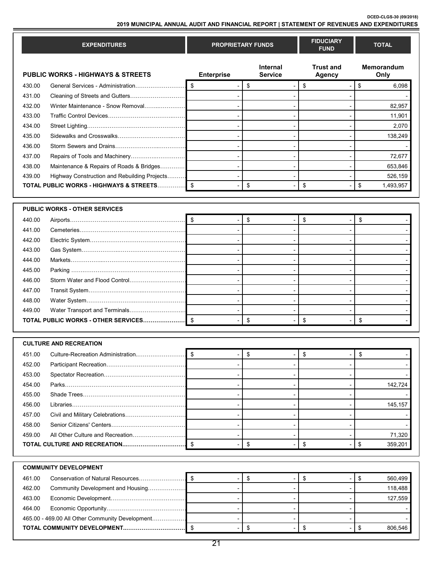**2019 MUNICIPAL ANNUAL AUDIT AND FINANCIAL REPORT | STATEMENT OF REVENUES AND EXPENDITURES**

|        | <b>EXPENDITURES</b>                                |                   | <b>PROPRIETARY FUNDS</b>          | <b>FIDUCIARY</b><br><b>FUND</b>   | <b>TOTAL</b>              |         |
|--------|----------------------------------------------------|-------------------|-----------------------------------|-----------------------------------|---------------------------|---------|
|        | <b>PUBLIC WORKS - HIGHWAYS &amp; STREETS</b>       | <b>Enterprise</b> | <b>Internal</b><br><b>Service</b> | <b>Trust and</b><br><b>Agency</b> | <b>Memorandum</b><br>Only |         |
| 430.00 | General Services - Administration                  | \$                | \$                                | \$                                | \$                        | 6,098   |
| 431.00 | Cleaning of Streets and Gutters                    |                   |                                   |                                   |                           |         |
| 432.00 | Winter Maintenance - Snow Removal                  |                   |                                   |                                   |                           | 82,957  |
| 433.00 |                                                    |                   |                                   |                                   |                           | 11,901  |
| 434.00 |                                                    |                   |                                   |                                   |                           | 2,070   |
| 435.00 |                                                    |                   |                                   |                                   | 138,249                   |         |
| 436.00 |                                                    |                   |                                   |                                   |                           |         |
| 437.00 | Repairs of Tools and Machinery                     |                   |                                   |                                   |                           | 72,677  |
| 438.00 | Maintenance & Repairs of Roads & Bridges           |                   |                                   |                                   | 653,846                   |         |
| 439.00 | Highway Construction and Rebuilding Projects       |                   |                                   |                                   | 526,159                   |         |
|        | <b>TOTAL PUBLIC WORKS - HIGHWAYS &amp; STREETS</b> | \$                | \$                                | \$                                | \$<br>1,493,957           |         |
|        |                                                    |                   |                                   |                                   |                           |         |
|        |                                                    |                   |                                   |                                   |                           |         |
|        | <b>PUBLIC WORKS - OTHER SERVICES</b>               |                   |                                   |                                   |                           |         |
| 440.00 |                                                    | - \$              | \$                                | \$                                | \$                        |         |
| 441.00 |                                                    |                   |                                   |                                   |                           |         |
| 442.00 |                                                    |                   |                                   |                                   |                           |         |
| 443.00 |                                                    |                   |                                   |                                   |                           |         |
| 444.00 |                                                    |                   |                                   |                                   |                           |         |
| 445.00 |                                                    |                   |                                   |                                   |                           |         |
| 446.00 | Storm Water and Flood Control                      |                   |                                   |                                   |                           |         |
| 447.00 |                                                    |                   |                                   |                                   |                           |         |
| 448.00 |                                                    |                   |                                   |                                   |                           |         |
| 449.00 | Water Transport and Terminals                      |                   |                                   |                                   |                           |         |
|        | TOTAL PUBLIC WORKS - OTHER SERVICES                | \$                | \$                                | \$                                | \$                        |         |
|        |                                                    |                   |                                   |                                   |                           |         |
|        | <b>CULTURE AND RECREATION</b>                      |                   |                                   |                                   |                           |         |
| 451.00 | Culture-Recreation Administration                  | - \$              | \$                                | \$                                | \$                        |         |
| 452.00 |                                                    |                   |                                   |                                   |                           |         |
| 453.00 |                                                    |                   |                                   |                                   |                           |         |
| 454.00 |                                                    |                   |                                   |                                   | 142,724                   |         |
| 455.00 |                                                    |                   |                                   |                                   |                           |         |
| 456.00 |                                                    |                   |                                   |                                   | 145,157                   |         |
| 457.00 | Civil and Military Celebrations                    |                   |                                   |                                   |                           |         |
| 458.00 |                                                    |                   |                                   |                                   |                           |         |
| 459.00 | All Other Culture and Recreation                   |                   |                                   |                                   |                           | 71,320  |
|        | TOTAL CULTURE AND RECREATION                       | $\mathfrak s$     | \$                                | \$                                | \$<br>359,201             |         |
|        |                                                    |                   |                                   |                                   |                           |         |
|        | <b>COMMUNITY DEVELOPMENT</b>                       |                   |                                   |                                   |                           |         |
| 461.00 | Conservation of Natural Resources                  | \$                | \$                                | \$                                | \$<br>560,499             |         |
| 462.00 | Community Development and Housing                  |                   |                                   |                                   | 118,488                   |         |
| 463.00 |                                                    |                   |                                   |                                   | 127,559                   |         |
| 464.00 |                                                    |                   |                                   |                                   |                           |         |
|        | 465.00 - 469.00 All Other Community Development    |                   |                                   |                                   |                           |         |
|        |                                                    | \$                | \$                                | \$                                | \$                        | 806,546 |
|        |                                                    |                   |                                   |                                   |                           |         |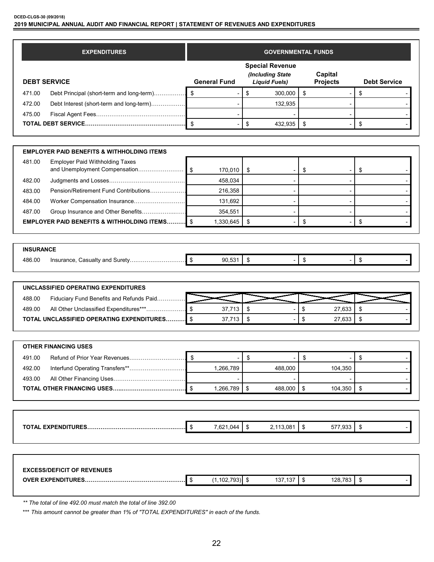#### **DCED-CLGS-30 (09/2018) 2019 MUNICIPAL ANNUAL AUDIT AND FINANCIAL REPORT | STATEMENT OF REVENUES AND EXPENDITURES**

|                  | <b>EXPENDITURES</b>                                   |                   |                     |                            | <b>GOVERNMENTAL FUNDS</b>                                          |            |                            |                     |
|------------------|-------------------------------------------------------|-------------------|---------------------|----------------------------|--------------------------------------------------------------------|------------|----------------------------|---------------------|
|                  | <b>DEBT SERVICE</b>                                   |                   | <b>General Fund</b> |                            | <b>Special Revenue</b><br>(Including State<br><b>Liquid Fuels)</b> |            | Capital<br><b>Projects</b> | <b>Debt Service</b> |
| 471.00           | Debt Principal (short-term and long-term)             | \$                |                     | \$                         | 300,000                                                            | \$         |                            | \$                  |
| 472.00           | Debt Interest (short-term and long-term)              |                   |                     |                            | 132,935                                                            |            |                            |                     |
| 475.00           |                                                       |                   |                     |                            |                                                                    |            |                            |                     |
|                  |                                                       | \$                |                     | \$                         | 432,935                                                            | -\$        |                            | \$                  |
|                  |                                                       |                   |                     |                            |                                                                    |            |                            |                     |
|                  | <b>EMPLOYER PAID BENEFITS &amp; WITHHOLDING ITEMS</b> |                   |                     |                            |                                                                    |            |                            |                     |
| 481.00           | <b>Employer Paid Withholding Taxes</b>                |                   | 170,010             | \$                         |                                                                    | \$         |                            | \$                  |
| 482.00           |                                                       |                   | 458,034             |                            |                                                                    |            |                            |                     |
| 483.00           | Pension/Retirement Fund Contributions                 |                   | 216,358             |                            |                                                                    |            |                            |                     |
| 484.00           | Worker Compensation Insurance                         |                   | 131,692             |                            |                                                                    |            |                            |                     |
| 487.00           | Group Insurance and Other Benefits                    |                   | 354,551             |                            |                                                                    |            |                            |                     |
|                  | <b>EMPLOYER PAID BENEFITS &amp; WITHHOLDING ITEMS</b> | \$                | 1,330,645           | \$                         |                                                                    | \$         |                            | \$                  |
|                  |                                                       |                   |                     |                            |                                                                    |            |                            |                     |
| <b>INSURANCE</b> |                                                       |                   |                     |                            |                                                                    |            |                            |                     |
| 486.00           |                                                       |                   | 90.531              | \$                         |                                                                    | \$         |                            | \$                  |
|                  | UNCLASSIFIED OPERATING EXPENDITURES                   |                   |                     |                            |                                                                    |            |                            |                     |
| 488.00           | Fiduciary Fund Benefits and Refunds Paid              |                   |                     |                            |                                                                    |            |                            |                     |
| 489.00           | All Other Unclassified Expenditures***                | \$                | 37,713              | \$                         |                                                                    | \$         | 27,633                     | \$                  |
|                  | TOTAL UNCLASSIFIED OPERATING EXPENDITURES             | \$                | 37,713              | \$                         |                                                                    | \$         | 27,633                     | \$                  |
|                  |                                                       |                   |                     |                            |                                                                    |            |                            |                     |
|                  | <b>OTHER FINANCING USES</b>                           |                   |                     |                            |                                                                    |            |                            |                     |
| 491.00           | Refund of Prior Year Revenues                         | \$                |                     | \$                         |                                                                    | \$         |                            | \$                  |
| 492.00           | Interfund Operating Transfers**                       |                   | 1,266,789           |                            | 488,000                                                            |            | 104,350                    |                     |
| 493.00           |                                                       |                   |                     |                            |                                                                    |            |                            |                     |
|                  |                                                       | $\boldsymbol{\$}$ | 1,266,789           | $\boldsymbol{\mathsf{\$}}$ | 488,000                                                            | \$         | 104,350                    | \$                  |
|                  |                                                       |                   |                     |                            |                                                                    |            |                            |                     |
|                  |                                                       | $\sqrt{3}$        | 7,621,044           | \$                         | $2,113,081$ \$                                                     |            | 577,933 \$                 |                     |
|                  |                                                       |                   |                     |                            |                                                                    |            |                            |                     |
|                  |                                                       |                   |                     |                            |                                                                    |            |                            |                     |
|                  | <b>EXCESS/DEFICIT OF REVENUES</b>                     |                   |                     |                            |                                                                    |            |                            |                     |
|                  |                                                       | $\sqrt{2}$        | $(1, 102, 793)$ \$  |                            | 137,137                                                            | $\sqrt{3}$ | 128,783 \$                 |                     |

*\*\* The total of line 492.00 must match the total of line 392.00*

\*\*\* *This amount cannot be greater than 1% of "TOTAL EXPENDITURES" in each of the funds.*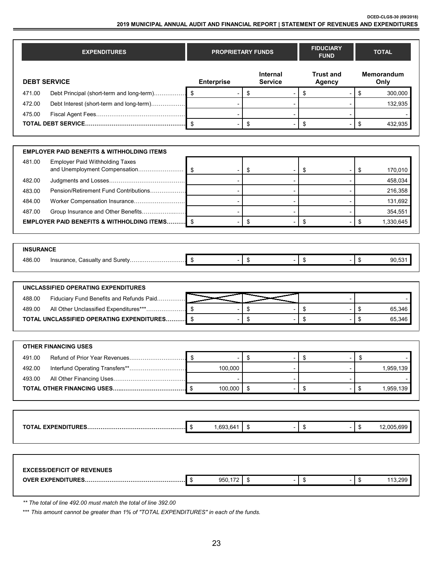**2019 MUNICIPAL ANNUAL AUDIT AND FINANCIAL REPORT | STATEMENT OF REVENUES AND EXPENDITURES**

| <b>EXPENDITURES</b>                                   |                            | <b>PROPRIETARY FUNDS</b>          | <b>FIDUCIARY</b><br><b>FUND</b>   | <b>TOTAL</b>                                            |  |
|-------------------------------------------------------|----------------------------|-----------------------------------|-----------------------------------|---------------------------------------------------------|--|
| <b>DEBT SERVICE</b>                                   | <b>Enterprise</b>          | <b>Internal</b><br><b>Service</b> | <b>Trust and</b><br><b>Agency</b> | Memorandum<br>Only                                      |  |
| 471.00<br>Debt Principal (short-term and long-term)   | - \$                       | \$                                | \$                                | \$<br>300,000                                           |  |
| 472.00<br>Debt Interest (short-term and long-term)    |                            |                                   |                                   | 132,935                                                 |  |
| 475.00                                                |                            |                                   |                                   |                                                         |  |
|                                                       | $\mathfrak{s}$             | \$                                | \$                                | \$<br>432,935                                           |  |
|                                                       |                            |                                   |                                   |                                                         |  |
| <b>EMPLOYER PAID BENEFITS &amp; WITHHOLDING ITEMS</b> |                            |                                   |                                   |                                                         |  |
| 481.00<br><b>Employer Paid Withholding Taxes</b>      |                            | \$                                | \$                                | \$<br>170,010                                           |  |
| 482.00                                                |                            |                                   |                                   | 458,034                                                 |  |
| Pension/Retirement Fund Contributions<br>483.00       |                            |                                   |                                   | 216,358                                                 |  |
| 484.00<br>Worker Compensation Insurance               |                            |                                   |                                   | 131,692                                                 |  |
| 487.00<br>Group Insurance and Other Benefits          |                            |                                   |                                   | 354,551                                                 |  |
| <b>EMPLOYER PAID BENEFITS &amp; WITHHOLDING ITEMS</b> | \$                         | \$                                | \$                                | \$<br>1,330,645                                         |  |
|                                                       |                            |                                   |                                   |                                                         |  |
|                                                       |                            |                                   |                                   |                                                         |  |
| <b>INSURANCE</b>                                      |                            |                                   |                                   |                                                         |  |
| 486.00<br>Insurance, Casualty and Surety              | $\sqrt{3}$                 | \$                                | \$                                | \$<br>90,531                                            |  |
|                                                       |                            |                                   |                                   |                                                         |  |
| UNCLASSIFIED OPERATING EXPENDITURES                   |                            |                                   |                                   |                                                         |  |
| 488.00<br>Fiduciary Fund Benefits and Refunds Paid    |                            |                                   |                                   |                                                         |  |
| All Other Unclassified Expenditures***<br>489.00      | \$                         | \$                                | \$                                | \$<br>65,346                                            |  |
| TOTAL UNCLASSIFIED OPERATING EXPENDITURES             | \$                         | \$                                | \$                                | \$<br>65,346                                            |  |
|                                                       |                            |                                   |                                   |                                                         |  |
| <b>OTHER FINANCING USES</b>                           |                            |                                   |                                   |                                                         |  |
| 491.00 Refund of Prior Year Revenues                  | \$                         | \$                                | \$                                | \$                                                      |  |
| Interfund Operating Transfers**<br>492.00             | 100,000                    |                                   |                                   | 1,959,139                                               |  |
| 493.00                                                |                            |                                   |                                   |                                                         |  |
|                                                       | $\mathfrak{S}$<br>100,000  | $\sqrt[6]{\frac{1}{2}}$           | \$                                | \$<br>1,959,139                                         |  |
|                                                       |                            |                                   |                                   |                                                         |  |
|                                                       |                            |                                   |                                   |                                                         |  |
|                                                       |                            |                                   |                                   |                                                         |  |
|                                                       | $\sqrt[6]{3}$<br>1,693,641 | $\,$                              | \$                                | $\, \, \raisebox{12pt}{$\scriptstyle \$}$<br>12,005,699 |  |
|                                                       |                            |                                   |                                   |                                                         |  |
|                                                       |                            |                                   |                                   |                                                         |  |
|                                                       |                            |                                   |                                   |                                                         |  |
| <b>EXCESS/DEFICIT OF REVENUES</b>                     | $\sqrt{3}$<br>950,172      | \$                                | \$                                | $\boldsymbol{\mathsf{\$}}$<br>113,299                   |  |
|                                                       |                            |                                   |                                   |                                                         |  |

*\*\* The total of line 492.00 must match the total of line 392.00*

\*\*\* *This amount cannot be greater than 1% of "TOTAL EXPENDITURES" in each of the funds.*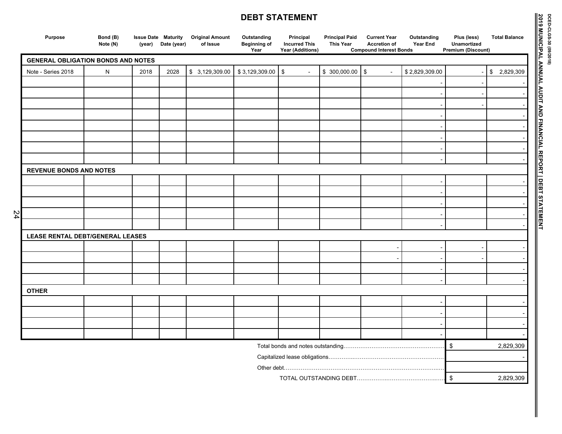#### **DEBT STATEMENT**

| Purpose                                   | Bond (B)<br>Note (N) | (year) | <b>Issue Date Maturity</b><br>Date (year) | <b>Original Amount</b><br>of Issue | Outstanding<br><b>Beginning of</b><br>Year | Principal<br><b>Incurred This</b><br>Year (Additions) | <b>Principal Paid</b><br><b>This Year</b> | <b>Current Year</b><br><b>Accretion of</b><br><b>Compound Interest Bonds</b> | Outstanding<br>Year End | Plus (less)<br><b>Unamortized</b><br><b>Premium (Discount)</b> | <b>Total Balance</b>                   |
|-------------------------------------------|----------------------|--------|-------------------------------------------|------------------------------------|--------------------------------------------|-------------------------------------------------------|-------------------------------------------|------------------------------------------------------------------------------|-------------------------|----------------------------------------------------------------|----------------------------------------|
| <b>GENERAL OBLIGATION BONDS AND NOTES</b> |                      |        |                                           |                                    |                                            |                                                       |                                           |                                                                              |                         |                                                                |                                        |
| Note - Series 2018                        | N                    | 2018   | 2028                                      | \$3,129,309.00                     | $$3,129,309.00$ \\$                        | $\blacksquare$                                        | $$300,000.00$ \$                          | $\blacksquare$                                                               | \$2,829,309.00          | ۰                                                              | $\boldsymbol{\mathsf{S}}$<br>2,829,309 |
|                                           |                      |        |                                           |                                    |                                            |                                                       |                                           |                                                                              |                         |                                                                |                                        |
|                                           |                      |        |                                           |                                    |                                            |                                                       |                                           |                                                                              |                         |                                                                |                                        |
|                                           |                      |        |                                           |                                    |                                            |                                                       |                                           |                                                                              |                         |                                                                |                                        |
|                                           |                      |        |                                           |                                    |                                            |                                                       |                                           |                                                                              |                         |                                                                |                                        |
|                                           |                      |        |                                           |                                    |                                            |                                                       |                                           |                                                                              |                         |                                                                |                                        |
|                                           |                      |        |                                           |                                    |                                            |                                                       |                                           |                                                                              |                         |                                                                |                                        |
|                                           |                      |        |                                           |                                    |                                            |                                                       |                                           |                                                                              |                         |                                                                |                                        |
|                                           |                      |        |                                           |                                    |                                            |                                                       |                                           |                                                                              |                         |                                                                |                                        |
| <b>REVENUE BONDS AND NOTES</b>            |                      |        |                                           |                                    |                                            |                                                       |                                           |                                                                              |                         |                                                                |                                        |
|                                           |                      |        |                                           |                                    |                                            |                                                       |                                           |                                                                              |                         |                                                                |                                        |
|                                           |                      |        |                                           |                                    |                                            |                                                       |                                           |                                                                              |                         |                                                                |                                        |
|                                           |                      |        |                                           |                                    |                                            |                                                       |                                           |                                                                              |                         |                                                                |                                        |
| 24                                        |                      |        |                                           |                                    |                                            |                                                       |                                           |                                                                              |                         |                                                                |                                        |
|                                           |                      |        |                                           |                                    |                                            |                                                       |                                           |                                                                              |                         |                                                                |                                        |
| LEASE RENTAL DEBT/GENERAL LEASES          |                      |        |                                           |                                    |                                            |                                                       |                                           |                                                                              |                         |                                                                |                                        |
|                                           |                      |        |                                           |                                    |                                            |                                                       |                                           |                                                                              |                         |                                                                |                                        |
|                                           |                      |        |                                           |                                    |                                            |                                                       |                                           |                                                                              |                         |                                                                |                                        |
|                                           |                      |        |                                           |                                    |                                            |                                                       |                                           |                                                                              |                         |                                                                |                                        |
|                                           |                      |        |                                           |                                    |                                            |                                                       |                                           |                                                                              |                         |                                                                |                                        |
|                                           |                      |        |                                           |                                    |                                            |                                                       |                                           |                                                                              |                         |                                                                |                                        |
| <b>OTHER</b>                              |                      |        |                                           |                                    |                                            |                                                       |                                           |                                                                              |                         |                                                                |                                        |
|                                           |                      |        |                                           |                                    |                                            |                                                       |                                           |                                                                              |                         |                                                                |                                        |
|                                           |                      |        |                                           |                                    |                                            |                                                       |                                           |                                                                              |                         |                                                                |                                        |
|                                           |                      |        |                                           |                                    |                                            |                                                       |                                           |                                                                              |                         |                                                                |                                        |
|                                           |                      |        |                                           |                                    |                                            |                                                       |                                           |                                                                              |                         |                                                                |                                        |
|                                           |                      |        |                                           |                                    |                                            | $\sqrt[6]{2}$                                         | 2,829,309                                 |                                                                              |                         |                                                                |                                        |
|                                           |                      |        |                                           |                                    |                                            |                                                       |                                           |                                                                              |                         |                                                                |                                        |
|                                           |                      |        |                                           |                                    |                                            |                                                       |                                           |                                                                              |                         |                                                                |                                        |

TOTAL OUTSTANDING DEBT……………..……………………..….…

DCED-CLGS-30 (09/2018)<br>2019 MIUNICIPAL ANNUAL AUDIT AND FINANCIAL REPORT | DEBT STATEMENT **2019 MUNICIPAL ANNUAL AUDIT AND FINANCIAL REPORT | DEBT STATEMENT**

**DCED-CLGS-30 (09/2018)**

2,829,309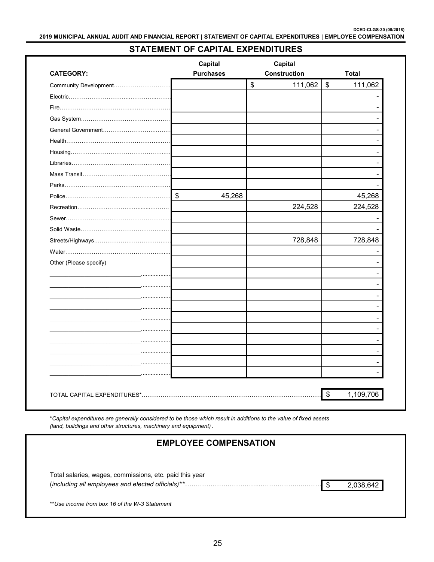**2019 MUNICIPAL ANNUAL AUDIT AND FINANCIAL REPORT | STATEMENT OF CAPITAL EXPENDITURES | EMPLOYEE COMPENSATION**

#### **STATEMENT OF CAPITAL EXPENDITURES**

| <b>CATEGORY:</b>       | Capital<br><b>Purchases</b> | Capital<br>Construction | <b>Total</b>                         |
|------------------------|-----------------------------|-------------------------|--------------------------------------|
|                        |                             |                         |                                      |
| Community Development  |                             | \$<br>111,062           | $\boldsymbol{\mathsf{S}}$<br>111,062 |
|                        |                             |                         |                                      |
|                        |                             |                         |                                      |
|                        |                             |                         |                                      |
|                        |                             |                         |                                      |
|                        |                             |                         |                                      |
|                        |                             |                         |                                      |
|                        |                             |                         |                                      |
|                        |                             |                         |                                      |
|                        |                             |                         |                                      |
|                        | $\sqrt[6]{3}$<br>45,268     |                         | 45,268                               |
|                        |                             | 224,528                 | 224,528                              |
|                        |                             |                         |                                      |
|                        |                             |                         |                                      |
|                        |                             | 728,848                 | 728,848                              |
|                        |                             |                         |                                      |
| Other (Please specify) |                             |                         |                                      |
|                        |                             |                         |                                      |
|                        |                             |                         |                                      |
|                        |                             |                         |                                      |
|                        |                             |                         |                                      |
|                        |                             |                         |                                      |
|                        |                             |                         |                                      |
|                        |                             |                         |                                      |
|                        |                             |                         |                                      |
|                        |                             |                         |                                      |
|                        |                             |                         |                                      |
|                        |                             |                         |                                      |

\**Capital expenditures are generally considered to be those which result in additions to the value of fixed assets (land, buildings and other structures, machinery and equipment)* .

#### **EMPLOYEE COMPENSATION**

| Total salaries, wages, commissions, etc. paid this year |           |
|---------------------------------------------------------|-----------|
|                                                         | 2,038,642 |
|                                                         |           |

\*\**Use income from box 16 of the W-3 Statement*